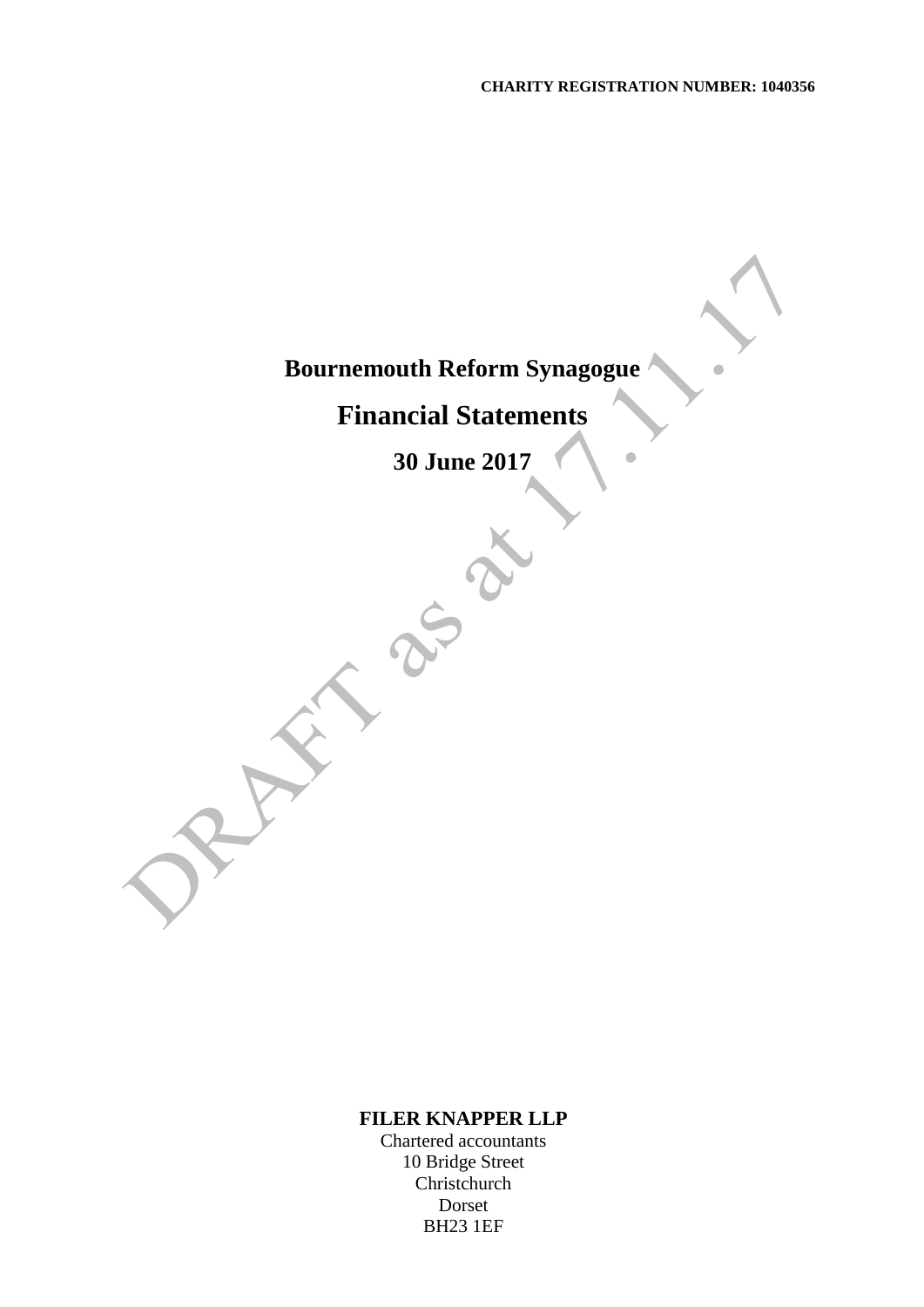$\bullet$ 

## **Bournemouth Reform Synagogue**

# **Financial Statements**

**30 June 2017**

### **FILER KNAPPER LLP**

Chartered accountants 10 Bridge Street Christchurch Dorset BH23 1EF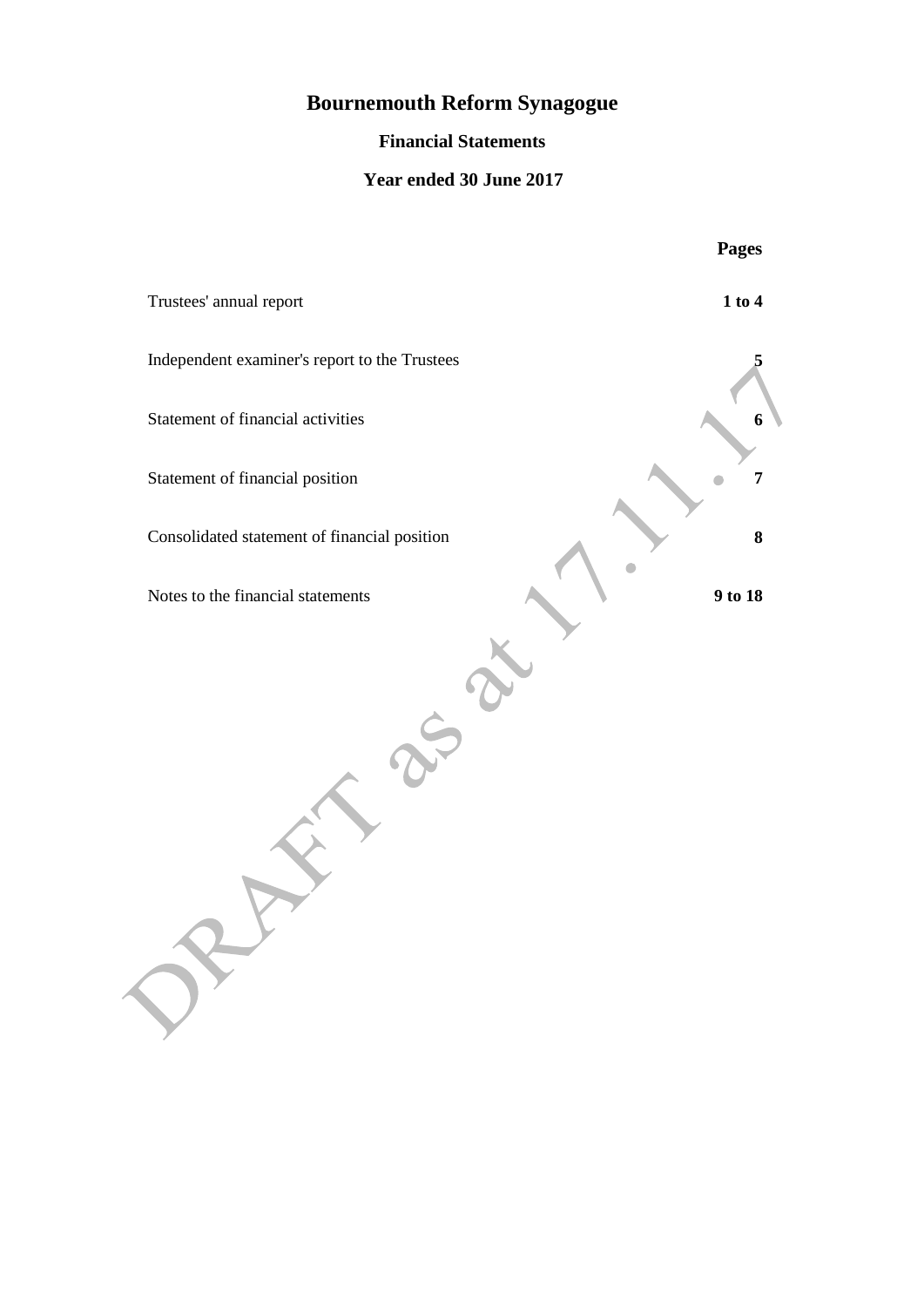### **Financial Statements**

### **Year ended 30 June 2017**

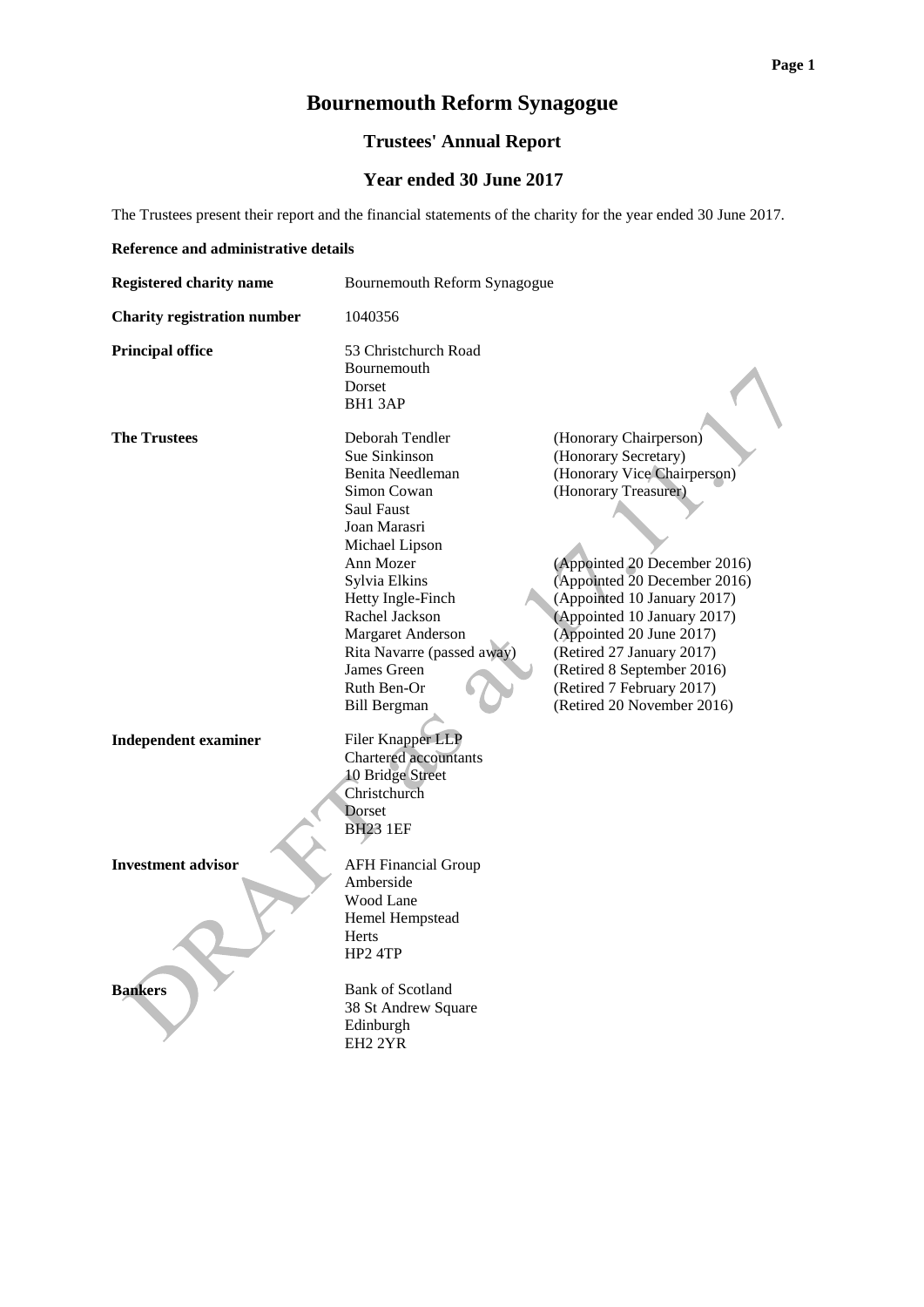### **Trustees' Annual Report**

### **Year ended 30 June 2017**

The Trustees present their report and the financial statements of the charity for the year ended 30 June 2017.

#### **Reference and administrative details**

| <b>Registered charity name</b>     | Bournemouth Reform Synagogue                                                                                                                                                                                                                                                                     |                                                                                                                                                                                                                                                                                                                                                                                       |  |  |
|------------------------------------|--------------------------------------------------------------------------------------------------------------------------------------------------------------------------------------------------------------------------------------------------------------------------------------------------|---------------------------------------------------------------------------------------------------------------------------------------------------------------------------------------------------------------------------------------------------------------------------------------------------------------------------------------------------------------------------------------|--|--|
| <b>Charity registration number</b> | 1040356                                                                                                                                                                                                                                                                                          |                                                                                                                                                                                                                                                                                                                                                                                       |  |  |
| <b>Principal office</b>            | 53 Christchurch Road<br>Bournemouth<br><b>Dorset</b><br>BH13AP                                                                                                                                                                                                                                   |                                                                                                                                                                                                                                                                                                                                                                                       |  |  |
| <b>The Trustees</b>                | Deborah Tendler<br>Sue Sinkinson<br>Benita Needleman<br>Simon Cowan<br>Saul Faust<br>Joan Marasri<br>Michael Lipson<br>Ann Mozer<br>Sylvia Elkins<br>Hetty Ingle-Finch<br>Rachel Jackson<br>Margaret Anderson<br>Rita Navarre (passed away)<br>James Green<br>Ruth Ben-Or<br><b>Bill Bergman</b> | (Honorary Chairperson)<br>(Honorary Secretary)<br>(Honorary Vice Chairperson)<br>(Honorary Treasurer)<br>(Appointed 20 December 2016)<br>(Appointed 20 December 2016)<br>(Appointed 10 January 2017)<br>(Appointed 10 January 2017)<br>(Appointed 20 June 2017)<br>(Retired 27 January 2017)<br>(Retired 8 September 2016)<br>(Retired 7 February 2017)<br>(Retired 20 November 2016) |  |  |
| <b>Independent examiner</b>        | Filer Knapper LLP<br>Chartered accountants<br><b>10 Bridge Street</b><br>Christchurch<br>Dorset<br><b>BH23 1EF</b>                                                                                                                                                                               |                                                                                                                                                                                                                                                                                                                                                                                       |  |  |
| <b>Investment advisor</b>          | <b>AFH Financial Group</b><br>Amberside<br>Wood Lane<br>Hemel Hempstead<br>Herts<br>HP2 4TP                                                                                                                                                                                                      |                                                                                                                                                                                                                                                                                                                                                                                       |  |  |
| <b>Bankers</b>                     | <b>Bank of Scotland</b><br>38 St Andrew Square<br>Edinburgh<br>EH <sub>2</sub> 2YR                                                                                                                                                                                                               |                                                                                                                                                                                                                                                                                                                                                                                       |  |  |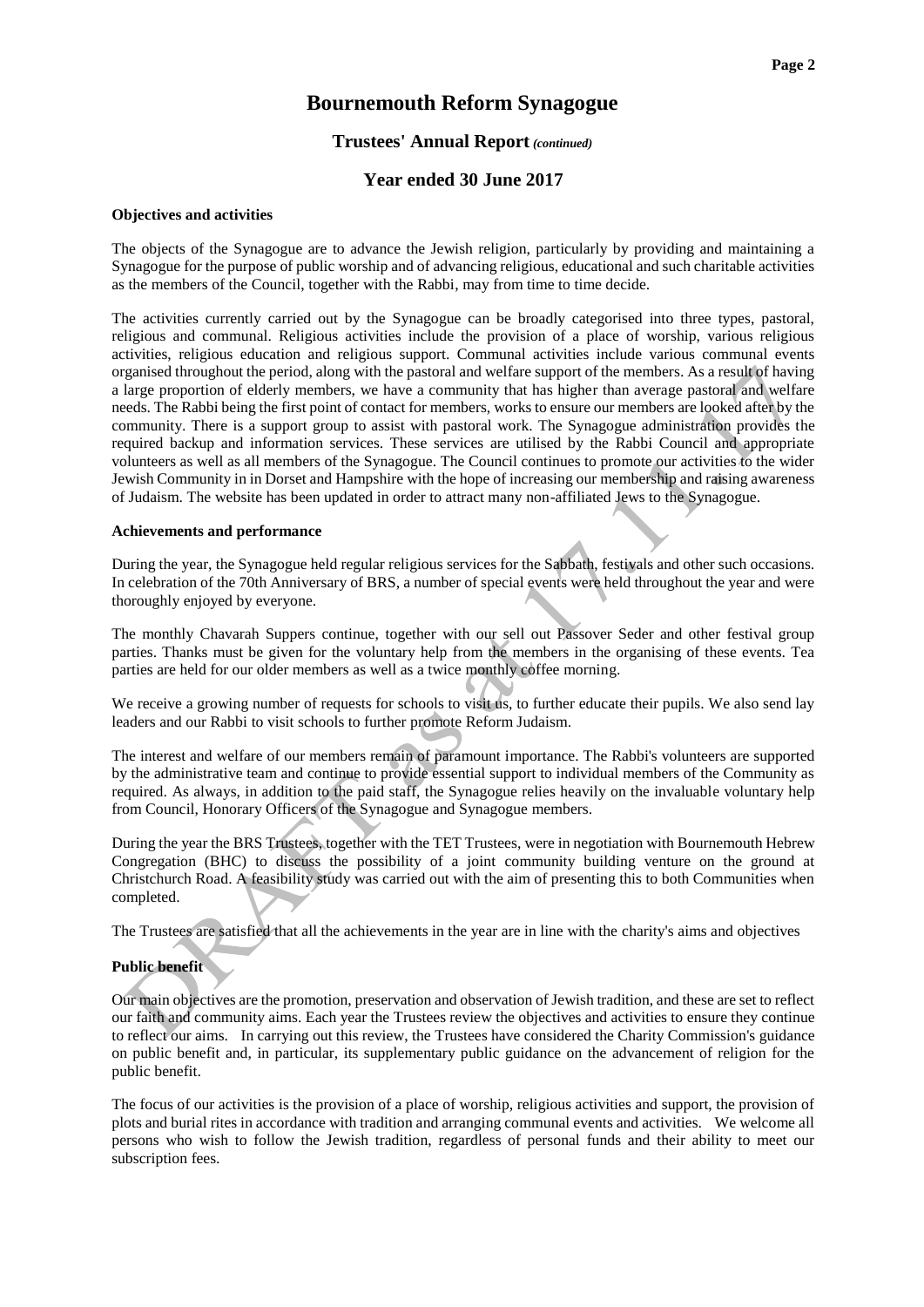#### **Trustees' Annual Report** *(continued)*

#### **Year ended 30 June 2017**

#### **Objectives and activities**

The objects of the Synagogue are to advance the Jewish religion, particularly by providing and maintaining a Synagogue for the purpose of public worship and of advancing religious, educational and such charitable activities as the members of the Council, together with the Rabbi, may from time to time decide.

The activities currently carried out by the Synagogue can be broadly categorised into three types, pastoral, religious and communal. Religious activities include the provision of a place of worship, various religious activities, religious education and religious support. Communal activities include various communal events organised throughout the period, along with the pastoral and welfare support of the members. As a result of having a large proportion of elderly members, we have a community that has higher than average pastoral and welfare needs. The Rabbi being the first point of contact for members, works to ensure our members are looked after by the community. There is a support group to assist with pastoral work. The Synagogue administration provides the required backup and information services. These services are utilised by the Rabbi Council and appropriate volunteers as well as all members of the Synagogue. The Council continues to promote our activities to the wider Jewish Community in in Dorset and Hampshire with the hope of increasing our membership and raising awareness of Judaism. The website has been updated in order to attract many non-affiliated Jews to the Synagogue.

#### **Achievements and performance**

During the year, the Synagogue held regular religious services for the Sabbath, festivals and other such occasions. In celebration of the 70th Anniversary of BRS, a number of special events were held throughout the year and were thoroughly enjoyed by everyone.

The monthly Chavarah Suppers continue, together with our sell out Passover Seder and other festival group parties. Thanks must be given for the voluntary help from the members in the organising of these events. Tea parties are held for our older members as well as a twice monthly coffee morning.

We receive a growing number of requests for schools to visit us, to further educate their pupils. We also send lay leaders and our Rabbi to visit schools to further promote Reform Judaism.

The interest and welfare of our members remain of paramount importance. The Rabbi's volunteers are supported by the administrative team and continue to provide essential support to individual members of the Community as required. As always, in addition to the paid staff, the Synagogue relies heavily on the invaluable voluntary help from Council, Honorary Officers of the Synagogue and Synagogue members.

During the year the BRS Trustees, together with the TET Trustees, were in negotiation with Bournemouth Hebrew Congregation (BHC) to discuss the possibility of a joint community building venture on the ground at Christchurch Road. A feasibility study was carried out with the aim of presenting this to both Communities when completed.

The Trustees are satisfied that all the achievements in the year are in line with the charity's aims and objectives

#### **Public benefit**

Our main objectives are the promotion, preservation and observation of Jewish tradition, and these are set to reflect our faith and community aims. Each year the Trustees review the objectives and activities to ensure they continue to reflect our aims. In carrying out this review, the Trustees have considered the Charity Commission's guidance on public benefit and, in particular, its supplementary public guidance on the advancement of religion for the public benefit.

The focus of our activities is the provision of a place of worship, religious activities and support, the provision of plots and burial rites in accordance with tradition and arranging communal events and activities. We welcome all persons who wish to follow the Jewish tradition, regardless of personal funds and their ability to meet our subscription fees.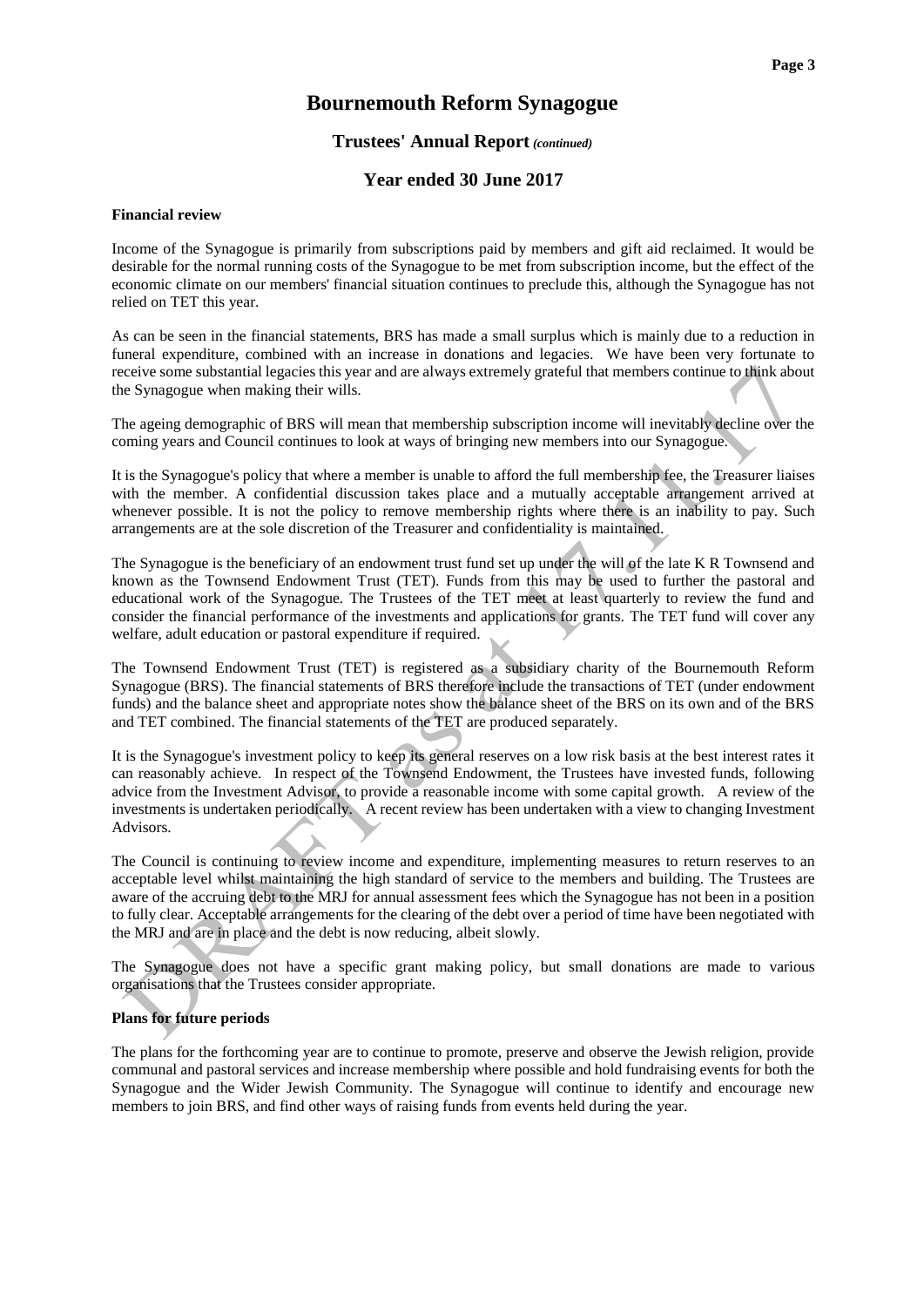#### **Trustees' Annual Report** *(continued)*

#### **Year ended 30 June 2017**

#### **Financial review**

Income of the Synagogue is primarily from subscriptions paid by members and gift aid reclaimed. It would be desirable for the normal running costs of the Synagogue to be met from subscription income, but the effect of the economic climate on our members' financial situation continues to preclude this, although the Synagogue has not relied on TET this year.

As can be seen in the financial statements, BRS has made a small surplus which is mainly due to a reduction in funeral expenditure, combined with an increase in donations and legacies. We have been very fortunate to receive some substantial legacies this year and are always extremely grateful that members continue to think about the Synagogue when making their wills.

The ageing demographic of BRS will mean that membership subscription income will inevitably decline over the coming years and Council continues to look at ways of bringing new members into our Synagogue.

It is the Synagogue's policy that where a member is unable to afford the full membership fee, the Treasurer liaises with the member. A confidential discussion takes place and a mutually acceptable arrangement arrived at whenever possible. It is not the policy to remove membership rights where there is an inability to pay. Such arrangements are at the sole discretion of the Treasurer and confidentiality is maintained.

The Synagogue is the beneficiary of an endowment trust fund set up under the will of the late K R Townsend and known as the Townsend Endowment Trust (TET). Funds from this may be used to further the pastoral and educational work of the Synagogue. The Trustees of the TET meet at least quarterly to review the fund and consider the financial performance of the investments and applications for grants. The TET fund will cover any welfare, adult education or pastoral expenditure if required.

The Townsend Endowment Trust (TET) is registered as a subsidiary charity of the Bournemouth Reform Synagogue (BRS). The financial statements of BRS therefore include the transactions of TET (under endowment funds) and the balance sheet and appropriate notes show the balance sheet of the BRS on its own and of the BRS and TET combined. The financial statements of the TET are produced separately.

It is the Synagogue's investment policy to keep its general reserves on a low risk basis at the best interest rates it can reasonably achieve. In respect of the Townsend Endowment, the Trustees have invested funds, following advice from the Investment Advisor, to provide a reasonable income with some capital growth. A review of the investments is undertaken periodically. A recent review has been undertaken with a view to changing Investment Advisors.

The Council is continuing to review income and expenditure, implementing measures to return reserves to an acceptable level whilst maintaining the high standard of service to the members and building. The Trustees are aware of the accruing debt to the MRJ for annual assessment fees which the Synagogue has not been in a position to fully clear. Acceptable arrangements for the clearing of the debt over a period of time have been negotiated with the MRJ and are in place and the debt is now reducing, albeit slowly.

The Synagogue does not have a specific grant making policy, but small donations are made to various organisations that the Trustees consider appropriate.

#### **Plans for future periods**

The plans for the forthcoming year are to continue to promote, preserve and observe the Jewish religion, provide communal and pastoral services and increase membership where possible and hold fundraising events for both the Synagogue and the Wider Jewish Community. The Synagogue will continue to identify and encourage new members to join BRS, and find other ways of raising funds from events held during the year.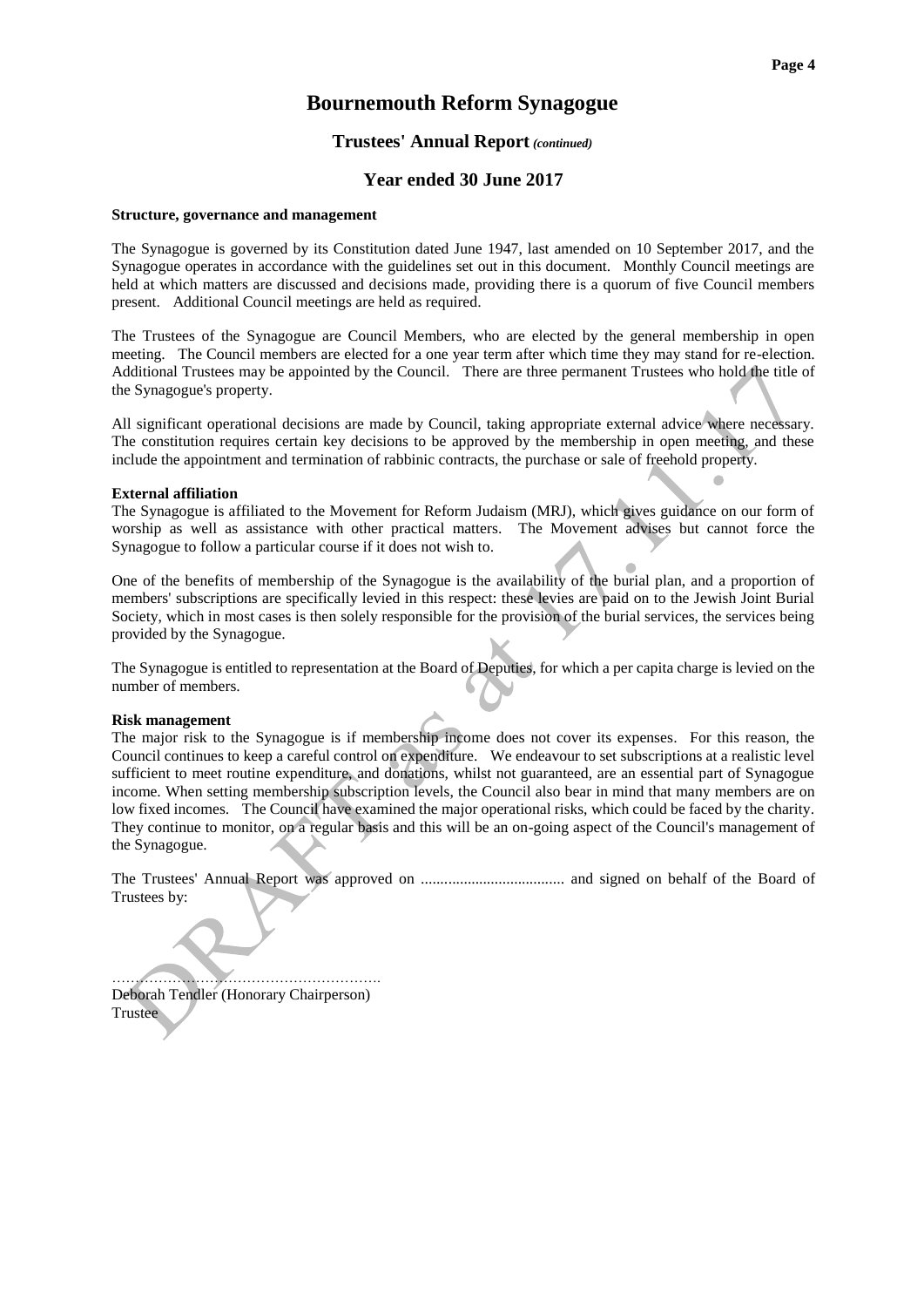#### **Trustees' Annual Report** *(continued)*

#### **Year ended 30 June 2017**

#### **Structure, governance and management**

The Synagogue is governed by its Constitution dated June 1947, last amended on 10 September 2017, and the Synagogue operates in accordance with the guidelines set out in this document. Monthly Council meetings are held at which matters are discussed and decisions made, providing there is a quorum of five Council members present. Additional Council meetings are held as required.

The Trustees of the Synagogue are Council Members, who are elected by the general membership in open meeting. The Council members are elected for a one year term after which time they may stand for re-election. Additional Trustees may be appointed by the Council. There are three permanent Trustees who hold the title of the Synagogue's property.

All significant operational decisions are made by Council, taking appropriate external advice where necessary. The constitution requires certain key decisions to be approved by the membership in open meeting, and these include the appointment and termination of rabbinic contracts, the purchase or sale of freehold property.

#### **External affiliation**

The Synagogue is affiliated to the Movement for Reform Judaism (MRJ), which gives guidance on our form of worship as well as assistance with other practical matters. The Movement advises but cannot force the Synagogue to follow a particular course if it does not wish to.

One of the benefits of membership of the Synagogue is the availability of the burial plan, and a proportion of members' subscriptions are specifically levied in this respect: these levies are paid on to the Jewish Joint Burial Society, which in most cases is then solely responsible for the provision of the burial services, the services being provided by the Synagogue.

The Synagogue is entitled to representation at the Board of Deputies, for which a per capita charge is levied on the number of members.

#### **Risk management**

The major risk to the Synagogue is if membership income does not cover its expenses. For this reason, the Council continues to keep a careful control on expenditure. We endeavour to set subscriptions at a realistic level sufficient to meet routine expenditure, and donations, whilst not guaranteed, are an essential part of Synagogue income. When setting membership subscription levels, the Council also bear in mind that many members are on low fixed incomes. The Council have examined the major operational risks, which could be faced by the charity. They continue to monitor, on a regular basis and this will be an on-going aspect of the Council's management of the Synagogue.

The Trustees' Annual Report was approved on ..................................... and signed on behalf of the Board of Trustees by:

…………………………………………………. Deborah Tendler (Honorary Chairperson) Trustee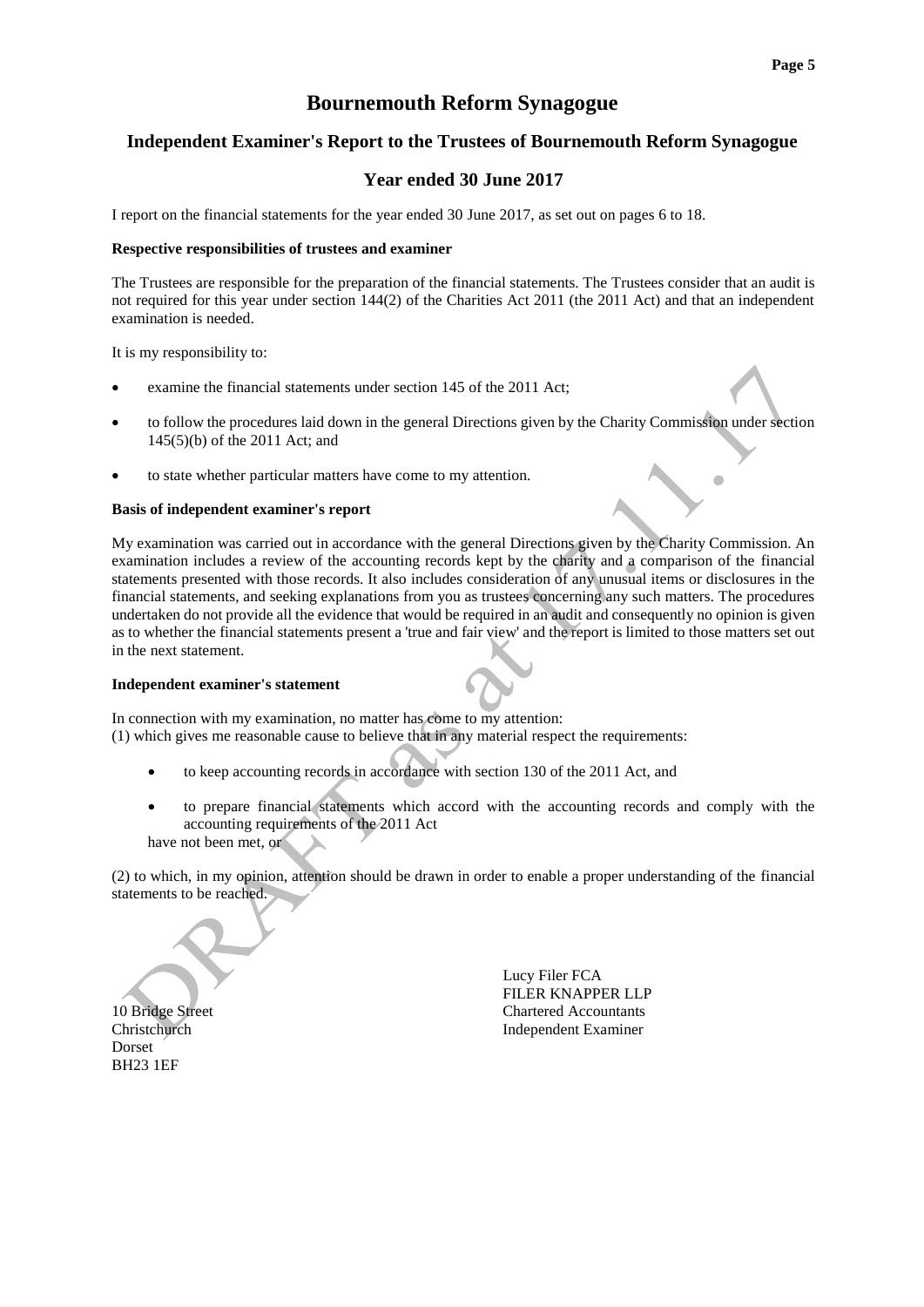۵

### **Bournemouth Reform Synagogue**

#### **Independent Examiner's Report to the Trustees of Bournemouth Reform Synagogue**

### **Year ended 30 June 2017**

I report on the financial statements for the year ended 30 June 2017, as set out on pages 6 to 18.

#### **Respective responsibilities of trustees and examiner**

The Trustees are responsible for the preparation of the financial statements. The Trustees consider that an audit is not required for this year under section 144(2) of the Charities Act 2011 (the 2011 Act) and that an independent examination is needed.

It is my responsibility to:

- examine the financial statements under section 145 of the 2011 Act;
- to follow the procedures laid down in the general Directions given by the Charity Commission under section 145(5)(b) of the 2011 Act; and
- to state whether particular matters have come to my attention.

#### **Basis of independent examiner's report**

My examination was carried out in accordance with the general Directions given by the Charity Commission. An examination includes a review of the accounting records kept by the charity and a comparison of the financial statements presented with those records. It also includes consideration of any unusual items or disclosures in the financial statements, and seeking explanations from you as trustees concerning any such matters. The procedures undertaken do not provide all the evidence that would be required in an audit and consequently no opinion is given as to whether the financial statements present a 'true and fair view' and the report is limited to those matters set out in the next statement.

#### **Independent examiner's statement**

In connection with my examination, no matter has come to my attention: (1) which gives me reasonable cause to believe that in any material respect the requirements:

- to keep accounting records in accordance with section 130 of the 2011 Act, and
- to prepare financial statements which accord with the accounting records and comply with the accounting requirements of the 2011 Act

have not been met, or

(2) to which, in my opinion, attention should be drawn in order to enable a proper understanding of the financial statements to be reached.

Dorset BH23 1EF

 Lucy Filer FCA FILER KNAPPER LLP 10 Bridge Street Chartered Accountants Christchurch Independent Examiner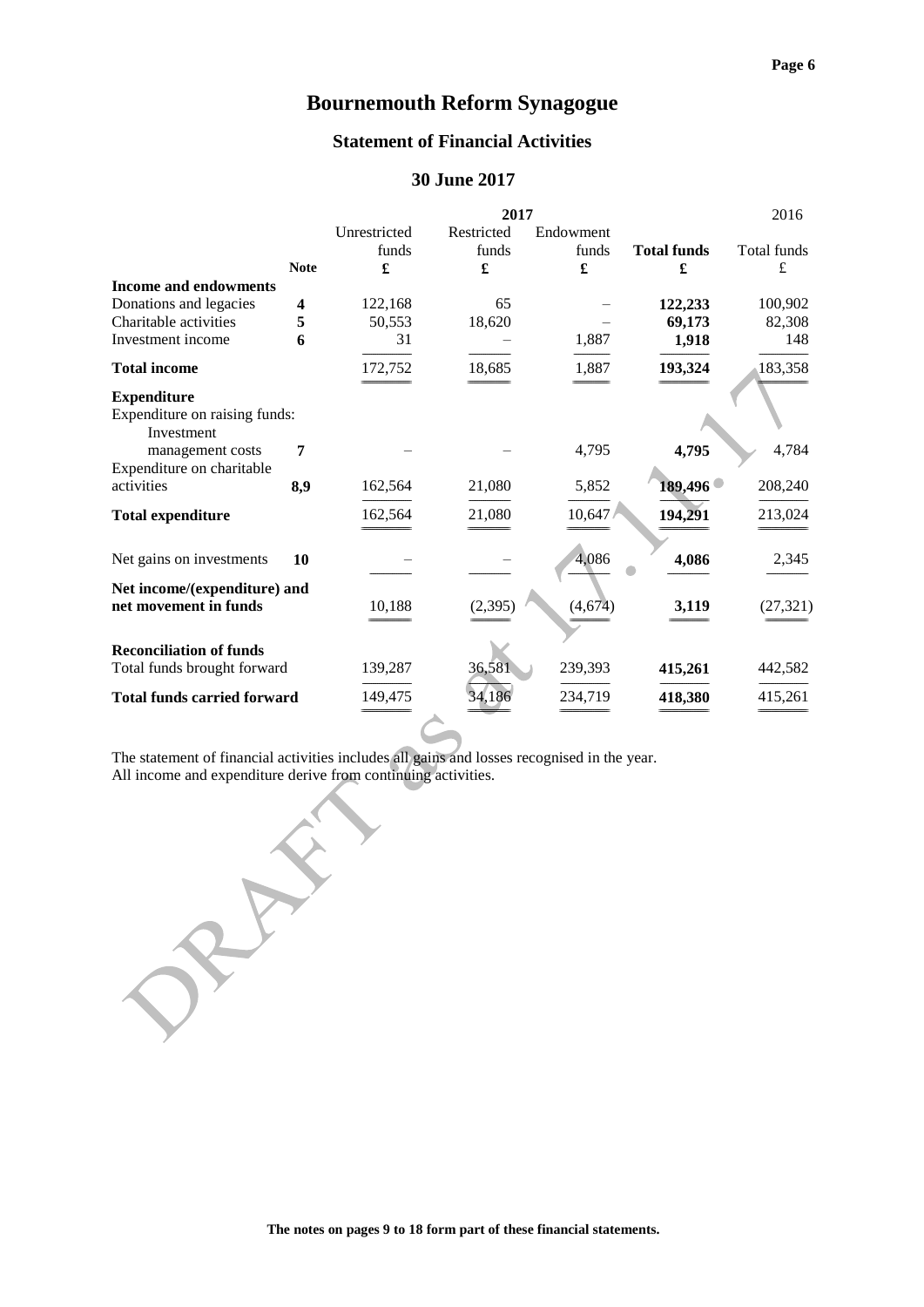#### **Statement of Financial Activities**

### **30 June 2017**

|                                             |             |              | 2017       |           |                    | 2016        |
|---------------------------------------------|-------------|--------------|------------|-----------|--------------------|-------------|
|                                             |             | Unrestricted | Restricted | Endowment |                    |             |
|                                             |             | funds        | funds      | funds     | <b>Total funds</b> | Total funds |
|                                             | <b>Note</b> | £            | £          | £         | £                  | £           |
| <b>Income and endowments</b>                |             |              |            |           |                    |             |
| Donations and legacies                      | 4           | 122,168      | 65         |           | 122,233            | 100,902     |
| Charitable activities                       | 5           | 50,553       | 18,620     |           | 69,173             | 82,308      |
| Investment income                           | 6           | 31           |            | 1,887     | 1,918              | 148         |
| <b>Total income</b>                         |             | 172,752      | 18,685     | 1,887     | 193,324            | 183,358     |
| <b>Expenditure</b>                          |             |              |            |           |                    |             |
| Expenditure on raising funds:<br>Investment |             |              |            |           |                    |             |
| management costs                            | 7           |              |            | 4,795     | 4,795              | 4,784       |
| Expenditure on charitable                   |             |              |            |           |                    |             |
| activities                                  | 8,9         | 162,564      | 21,080     | 5,852     | 189,496            | 208,240     |
| <b>Total expenditure</b>                    |             | 162,564      | 21,080     | 10,647    | 194,291            | 213,024     |
| Net gains on investments                    | 10          |              |            | 4,086     | 4,086              | 2,345       |
| Net income/(expenditure) and                |             |              |            |           |                    |             |
| net movement in funds                       |             | 10,188       | (2, 395)   | (4,674)   | 3,119              | (27, 321)   |
| <b>Reconciliation of funds</b>              |             |              |            |           |                    |             |
| Total funds brought forward                 |             | 139,287      | 36,581     | 239,393   | 415,261            | 442,582     |
| <b>Total funds carried forward</b>          |             | 149,475      | 34.186     | 234.719   | 418,380            | 415,261     |

The statement of financial activities includes all gains and losses recognised in the year. All income and expenditure derive from continuing activities.

 $\hat{\mathbf{x}}$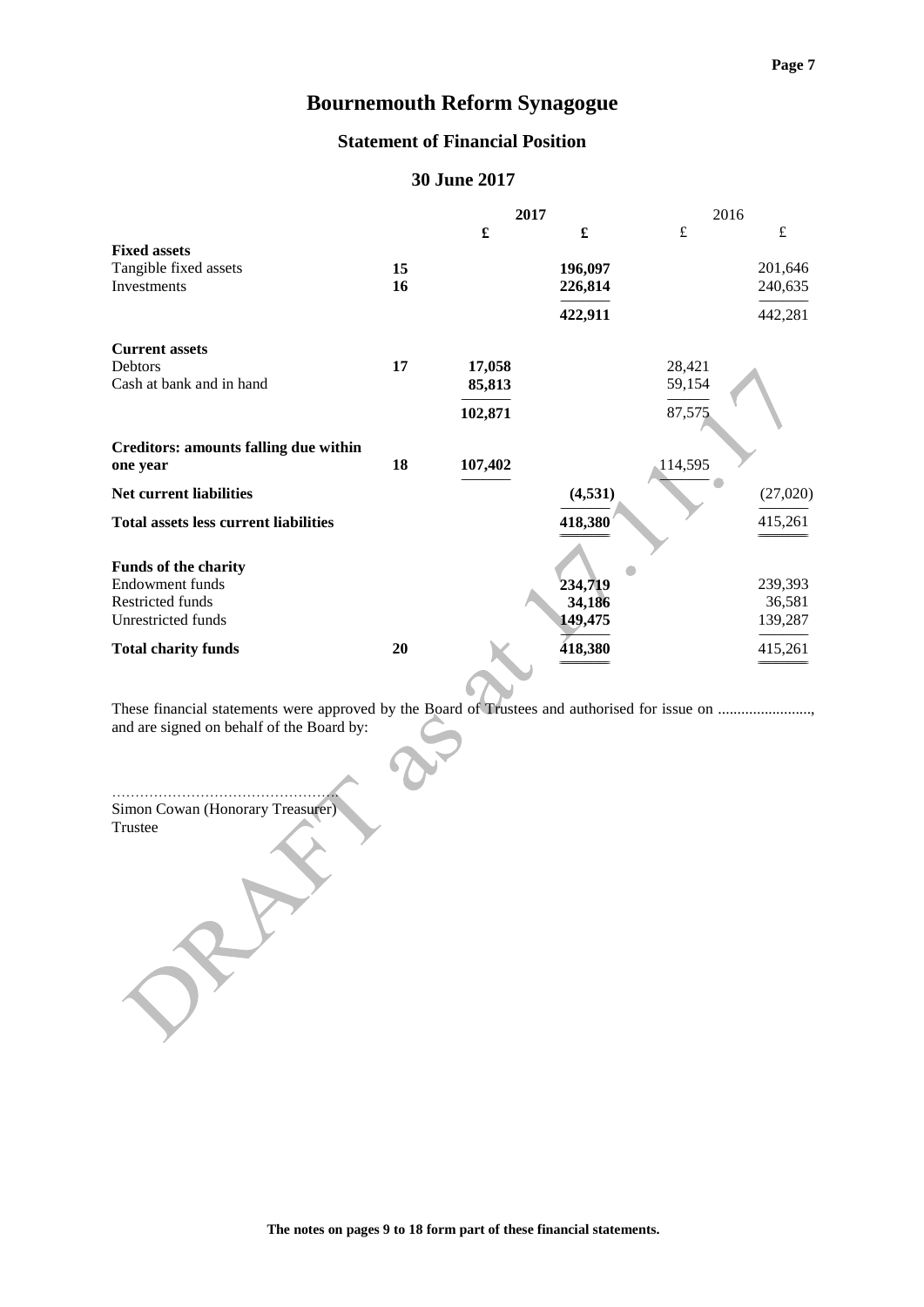### **Statement of Financial Position**

### **30 June 2017**

|                                              |    | 2017    |          | 2016    |           |
|----------------------------------------------|----|---------|----------|---------|-----------|
|                                              |    | £       | £        | £       | $\pounds$ |
| <b>Fixed assets</b>                          |    |         |          |         |           |
| Tangible fixed assets                        | 15 |         | 196,097  |         | 201,646   |
| <b>Investments</b>                           | 16 |         | 226,814  |         | 240,635   |
|                                              |    |         | 422,911  |         | 442,281   |
| <b>Current assets</b>                        |    |         |          |         |           |
| Debtors                                      | 17 | 17,058  |          | 28,421  |           |
| Cash at bank and in hand                     |    | 85,813  |          | 59,154  |           |
|                                              |    |         |          |         |           |
|                                              |    | 102,871 |          | 87,575  |           |
| Creditors: amounts falling due within        |    |         |          |         |           |
| one year                                     | 18 | 107,402 |          | 114,595 |           |
|                                              |    |         |          |         |           |
| <b>Net current liabilities</b>               |    |         | (4, 531) |         | (27,020)  |
| <b>Total assets less current liabilities</b> |    |         | 418,380  |         | 415,261   |
|                                              |    |         |          |         |           |
| <b>Funds of the charity</b>                  |    |         |          |         |           |
| Endowment funds                              |    |         | 234,719  |         | 239,393   |
| <b>Restricted funds</b>                      |    |         | 34,186   |         | 36,581    |
| Unrestricted funds                           |    |         | 149,475  |         | 139,287   |
| <b>Total charity funds</b>                   | 20 |         | 418,380  |         | 415,261   |
|                                              |    |         |          |         |           |

These financial statements were approved by the Board of Trustees and authorised for issue on ...................... and are signed on behalf of the Board by:

…………………………………………. Simon Cowan (Honorary Treasurer) Trustee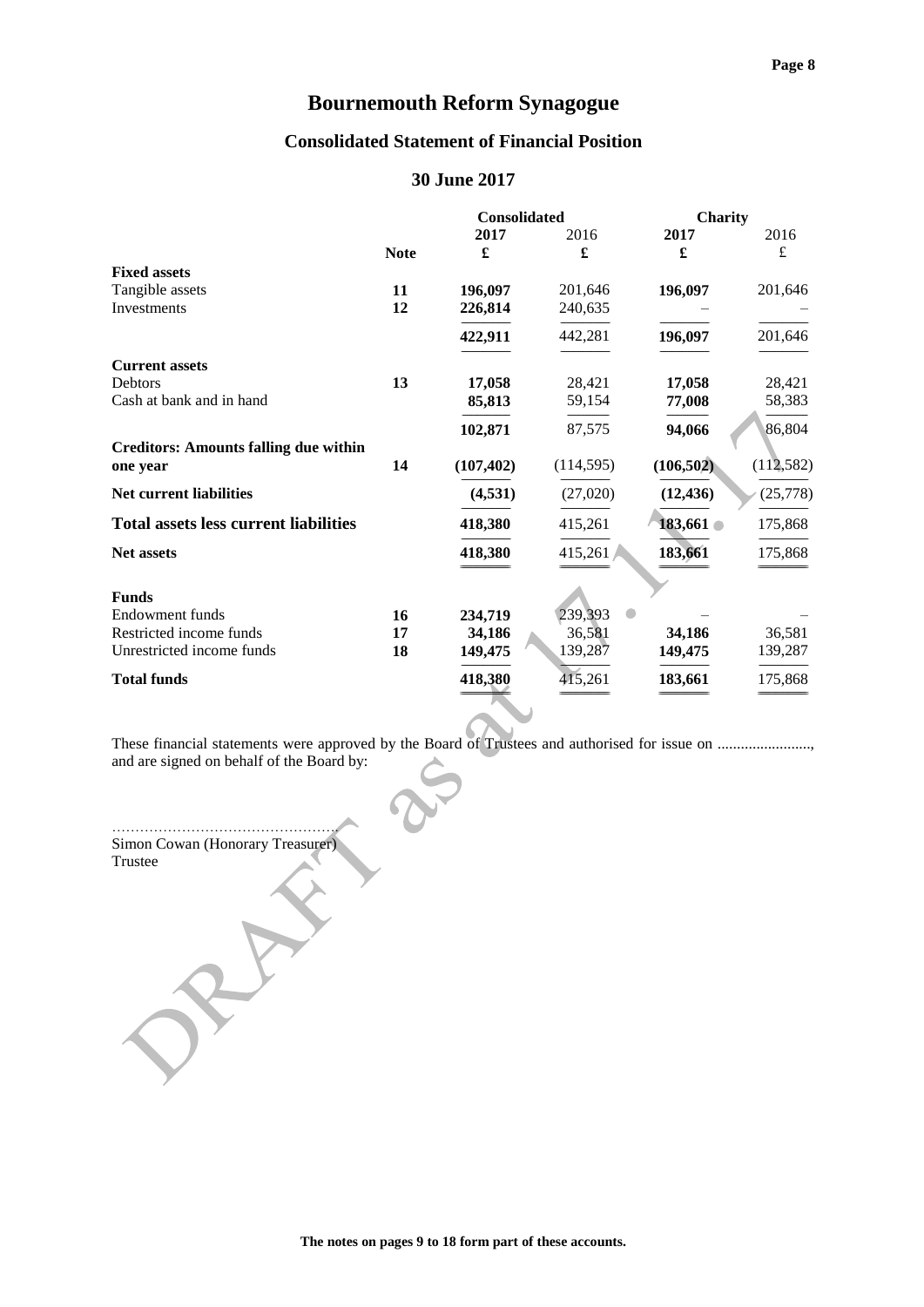### **Consolidated Statement of Financial Position**

### **30 June 2017**

|                                              |             | <b>Consolidated</b> |            | Charity    |            |
|----------------------------------------------|-------------|---------------------|------------|------------|------------|
|                                              |             | 2017                | 2016       | 2017       | 2016       |
|                                              | <b>Note</b> | £                   | £          | £          | £          |
| <b>Fixed assets</b>                          |             |                     |            |            |            |
| Tangible assets                              | 11          | 196,097             | 201,646    | 196,097    | 201,646    |
| Investments                                  | 12          | 226,814             | 240,635    |            |            |
|                                              |             | 422,911             | 442,281    | 196,097    | 201,646    |
| <b>Current assets</b>                        |             |                     |            |            |            |
| Debtors                                      | 13          | 17,058              | 28,421     | 17,058     | 28,421     |
| Cash at bank and in hand                     |             | 85,813              | 59,154     | 77,008     | 58,383     |
|                                              |             | 102,871             | 87,575     | 94,066     | 86,804     |
| <b>Creditors: Amounts falling due within</b> |             |                     |            |            |            |
| one year                                     | 14          | (107, 402)          | (114, 595) | (106, 502) | (112, 582) |
| Net current liabilities                      |             | (4,531)             | (27,020)   | (12, 436)  | (25, 778)  |
| <b>Total assets less current liabilities</b> |             | 418,380             | 415,261    | 183,661 €  | 175,868    |
| Net assets                                   |             | 418,380             | 415,261    | 183,661    | 175,868    |
| <b>Funds</b>                                 |             |                     |            |            |            |
| Endowment funds                              | 16          | 234,719             | 239,393    |            |            |
| Restricted income funds                      | 17          | 34,186              | 36,581     | 34,186     | 36,581     |
| Unrestricted income funds                    | 18          | 149,475             | 139,287    | 149,475    | 139,287    |
|                                              |             |                     |            |            |            |
| <b>Total funds</b>                           |             | 418,380             | 415,261    | 183,661    | 175,868    |
|                                              |             |                     |            |            |            |

These financial statements were approved by the Board of Trustees and authorised for issue on ....................., and are signed on behalf of the Board by:

…………………………………………. Simon Cowan (Honorary Treasurer) Trustee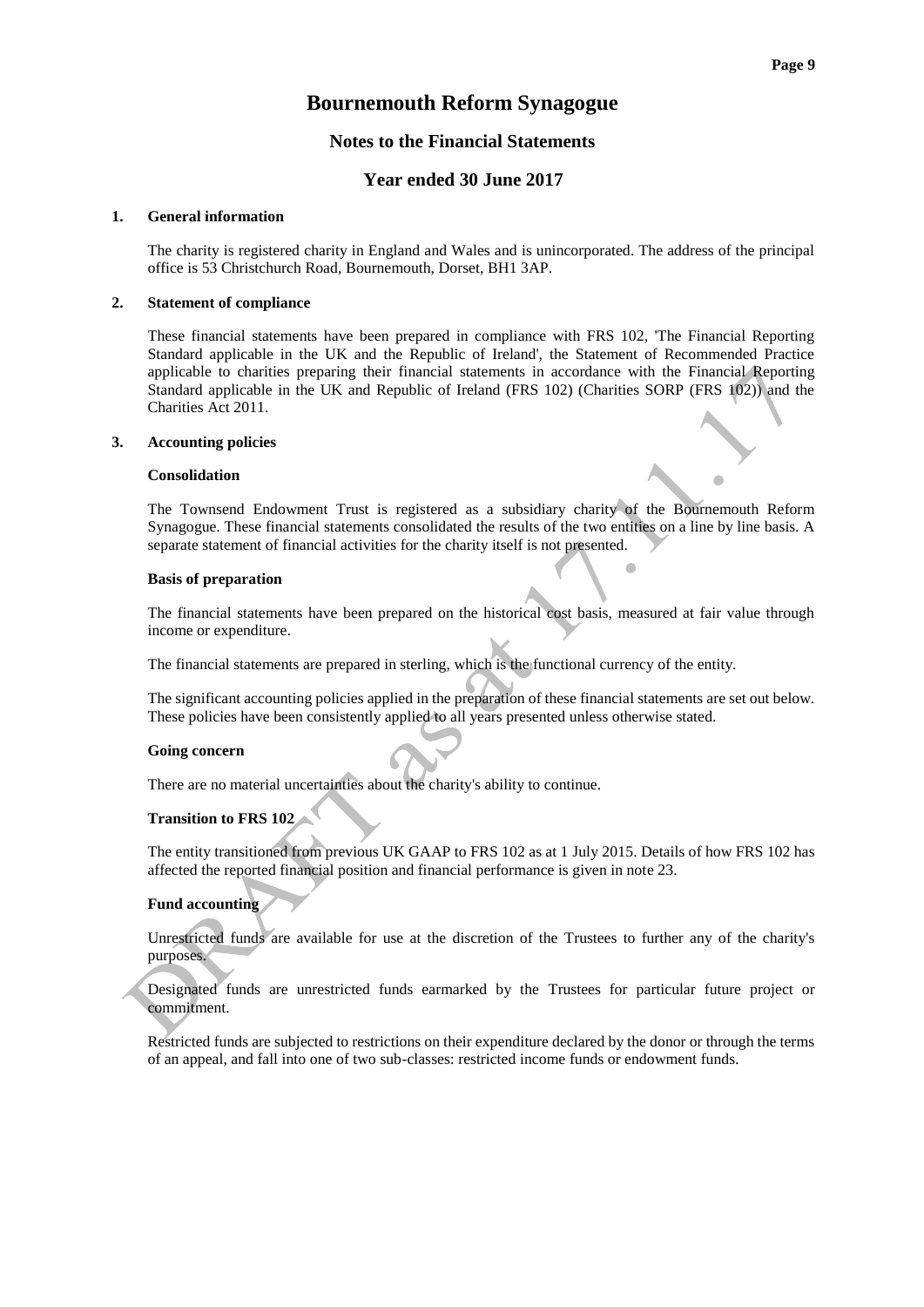#### **Notes to the Financial Statements**

#### **Year ended 30 June 2017**

#### **1. General information**

The charity is registered charity in England and Wales and is unincorporated. The address of the principal office is 53 Christchurch Road, Bournemouth, Dorset, BH1 3AP.

#### **2. Statement of compliance**

These financial statements have been prepared in compliance with FRS 102, 'The Financial Reporting Standard applicable in the UK and the Republic of Ireland', the Statement of Recommended Practice applicable to charities preparing their financial statements in accordance with the Financial Reporting Standard applicable in the UK and Republic of Ireland (FRS 102) (Charities SORP (FRS 102)) and the Charities Act 2011.

#### **3. Accounting policies**

#### **Consolidation**

The Townsend Endowment Trust is registered as a subsidiary charity of the Bournemouth Reform Synagogue. These financial statements consolidated the results of the two entities on a line by line basis. A separate statement of financial activities for the charity itself is not presented.

#### **Basis of preparation**

The financial statements have been prepared on the historical cost basis, measured at fair value through income or expenditure.

The financial statements are prepared in sterling, which is the functional currency of the entity.

The significant accounting policies applied in the preparation of these financial statements are set out below. These policies have been consistently applied to all years presented unless otherwise stated.

#### **Going concern**

There are no material uncertainties about the charity's ability to continue.

#### **Transition to FRS 102**

The entity transitioned from previous UK GAAP to FRS 102 as at 1 July 2015. Details of how FRS 102 has affected the reported financial position and financial performance is given in note 23.

#### **Fund accounting**

Unrestricted funds are available for use at the discretion of the Trustees to further any of the charity's purposes.

Designated funds are unrestricted funds earmarked by the Trustees for particular future project or commitment.

Restricted funds are subjected to restrictions on their expenditure declared by the donor or through the terms of an appeal, and fall into one of two sub-classes: restricted income funds or endowment funds.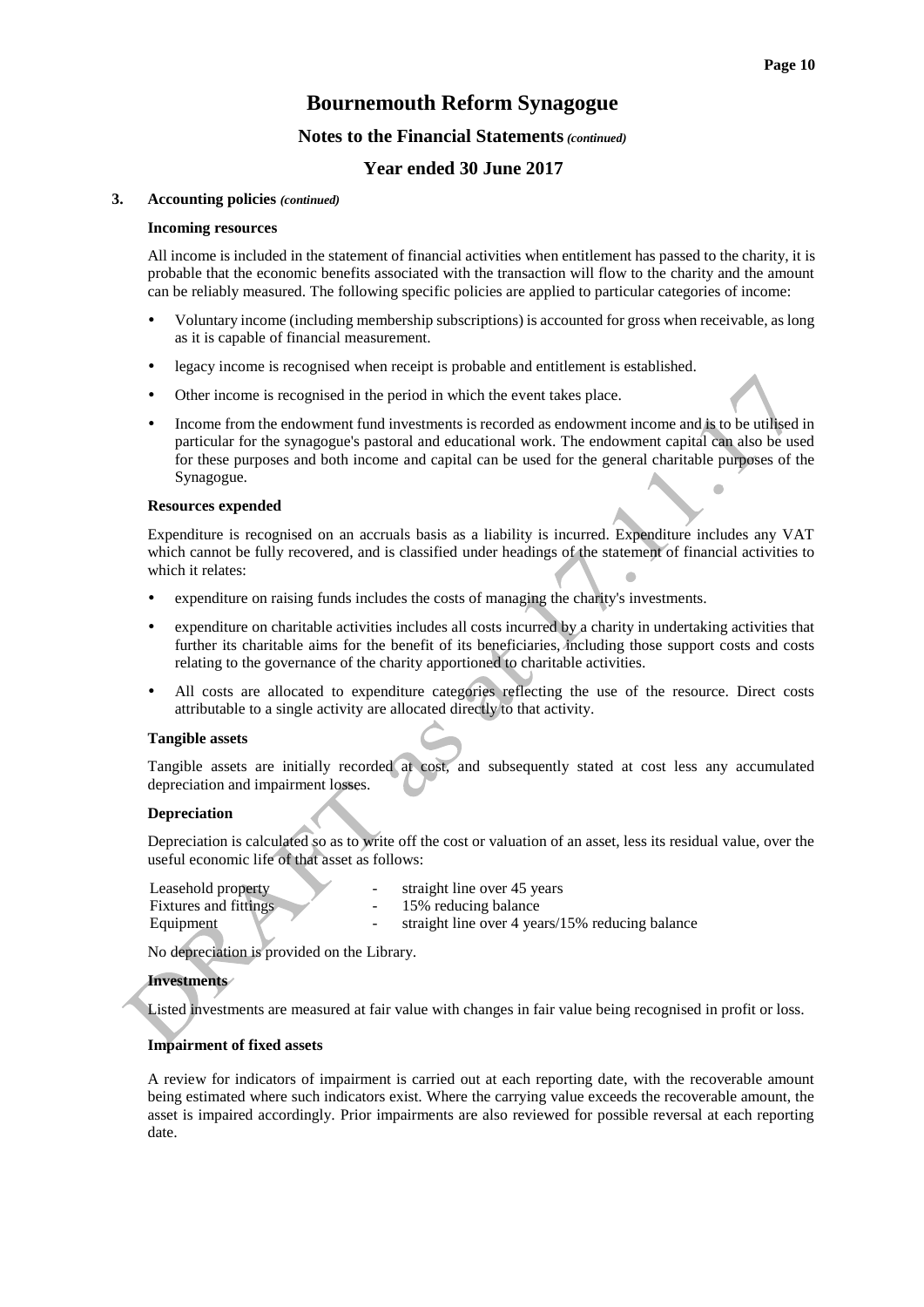#### **Notes to the Financial Statements***(continued)*

#### **Year ended 30 June 2017**

#### **3. Accounting policies** *(continued)*

#### **Incoming resources**

All income is included in the statement of financial activities when entitlement has passed to the charity, it is probable that the economic benefits associated with the transaction will flow to the charity and the amount can be reliably measured. The following specific policies are applied to particular categories of income:

- Voluntary income (including membership subscriptions) is accounted for gross when receivable, as long as it is capable of financial measurement.
- legacy income is recognised when receipt is probable and entitlement is established.
- Other income is recognised in the period in which the event takes place.
- Income from the endowment fund investments is recorded as endowment income and is to be utilised in particular for the synagogue's pastoral and educational work. The endowment capital can also be used for these purposes and both income and capital can be used for the general charitable purposes of the Synagogue.

#### **Resources expended**

Expenditure is recognised on an accruals basis as a liability is incurred. Expenditure includes any VAT which cannot be fully recovered, and is classified under headings of the statement of financial activities to which it relates:

- expenditure on raising funds includes the costs of managing the charity's investments.
- expenditure on charitable activities includes all costs incurred by a charity in undertaking activities that further its charitable aims for the benefit of its beneficiaries, including those support costs and costs relating to the governance of the charity apportioned to charitable activities.
- All costs are allocated to expenditure categories reflecting the use of the resource. Direct costs attributable to a single activity are allocated directly to that activity.

#### **Tangible assets**

Tangible assets are initially recorded at cost, and subsequently stated at cost less any accumulated depreciation and impairment losses.

#### **Depreciation**

Depreciation is calculated so as to write off the cost or valuation of an asset, less its residual value, over the useful economic life of that asset as follows:

| Leasehold property    | straight line over 45 years                     |
|-----------------------|-------------------------------------------------|
| Fixtures and fittings | 15% reducing balance                            |
| Equipment             | straight line over 4 years/15% reducing balance |

No depreciation is provided on the Library.

#### **Investments**

Listed investments are measured at fair value with changes in fair value being recognised in profit or loss.

#### **Impairment of fixed assets**

A review for indicators of impairment is carried out at each reporting date, with the recoverable amount being estimated where such indicators exist. Where the carrying value exceeds the recoverable amount, the asset is impaired accordingly. Prior impairments are also reviewed for possible reversal at each reporting date.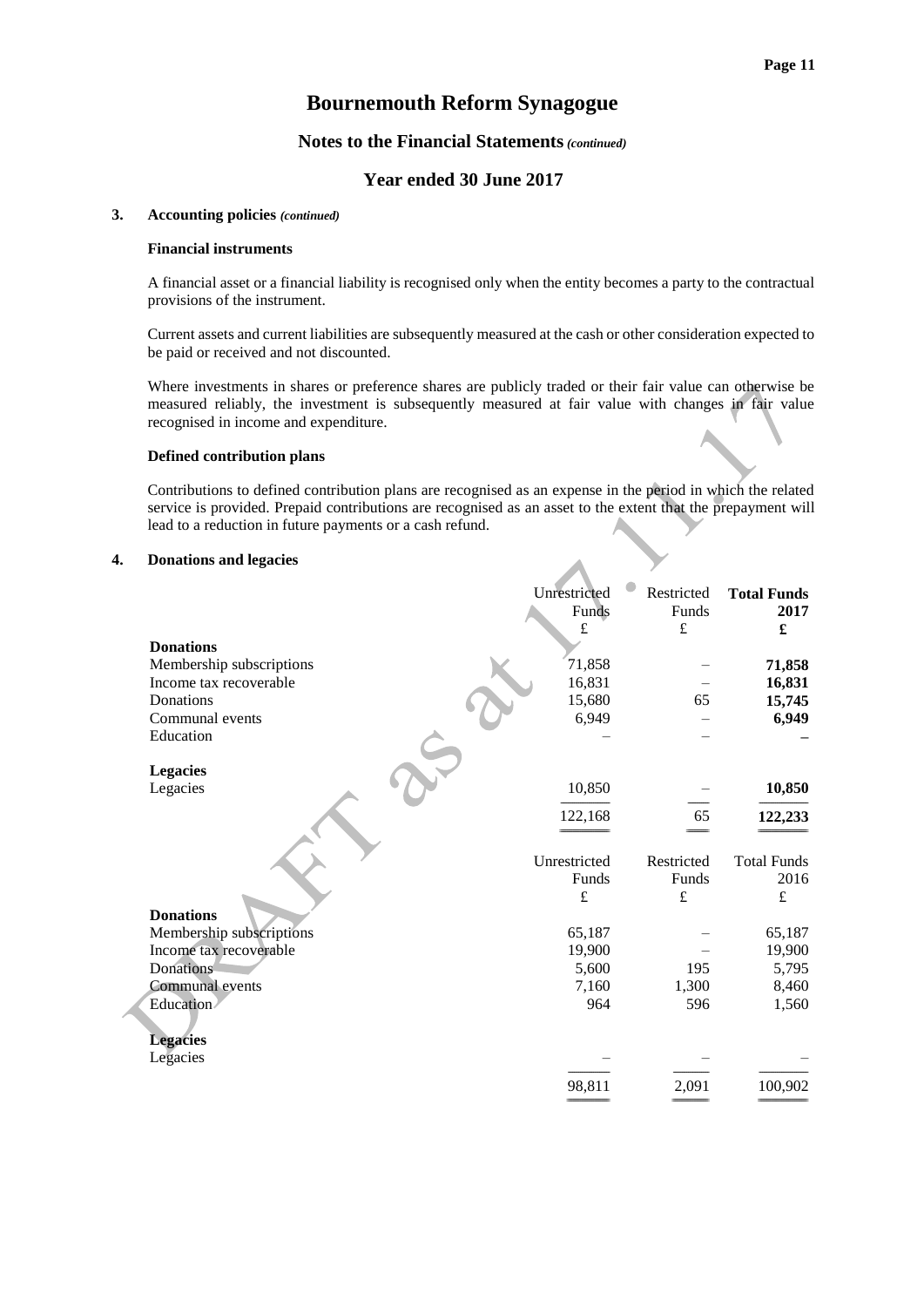#### **Notes to the Financial Statements***(continued)*

### **Year ended 30 June 2017**

#### **3. Accounting policies** *(continued)*

#### **Financial instruments**

A financial asset or a financial liability is recognised only when the entity becomes a party to the contractual provisions of the instrument.

Current assets and current liabilities are subsequently measured at the cash or other consideration expected to be paid or received and not discounted.

Where investments in shares or preference shares are publicly traded or their fair value can otherwise be measured reliably, the investment is subsequently measured at fair value with changes in fair value recognised in income and expenditure.

#### **Defined contribution plans**

Contributions to defined contribution plans are recognised as an expense in the period in which the related service is provided. Prepaid contributions are recognised as an asset to the extent that the prepayment will lead to a reduction in future payments or a cash refund.

#### **4. Donations and legacies**

|                          | Unrestricted<br>Funds | Restricted<br>Funds | <b>Total Funds</b><br>2017 |
|--------------------------|-----------------------|---------------------|----------------------------|
|                          | £                     | $\pounds$           | £                          |
| <b>Donations</b>         |                       |                     |                            |
| Membership subscriptions | 71,858                |                     | 71,858                     |
| Income tax recoverable   | 16,831                |                     | 16,831                     |
| Donations                | 15,680                | 65                  | 15,745                     |
| Communal events          | 6,949                 |                     | 6,949                      |
| Education                |                       |                     |                            |
|                          |                       |                     |                            |
| <b>Legacies</b>          |                       |                     |                            |
| Legacies                 | 10,850                |                     | 10,850                     |
|                          | 122,168               | 65                  | 122,233                    |
|                          |                       |                     |                            |
|                          |                       |                     |                            |
|                          | Unrestricted          | Restricted          | <b>Total Funds</b>         |
|                          | Funds                 | Funds               | 2016                       |
|                          | £                     | £                   | £                          |
| <b>Donations</b>         |                       |                     |                            |
| Membership subscriptions | 65,187                |                     | 65,187                     |
| Income tax recoverable   | 19,900                |                     | 19,900                     |
| Donations                | 5,600                 | 195                 | 5,795                      |
| Communal events          | 7,160                 | 1,300               | 8,460                      |
| Education                | 964                   | 596                 | 1,560                      |
|                          |                       |                     |                            |
| <b>Legacies</b>          |                       |                     |                            |
| Legacies                 |                       |                     |                            |
|                          | 98,811                | 2,091               | 100,902                    |
|                          |                       |                     |                            |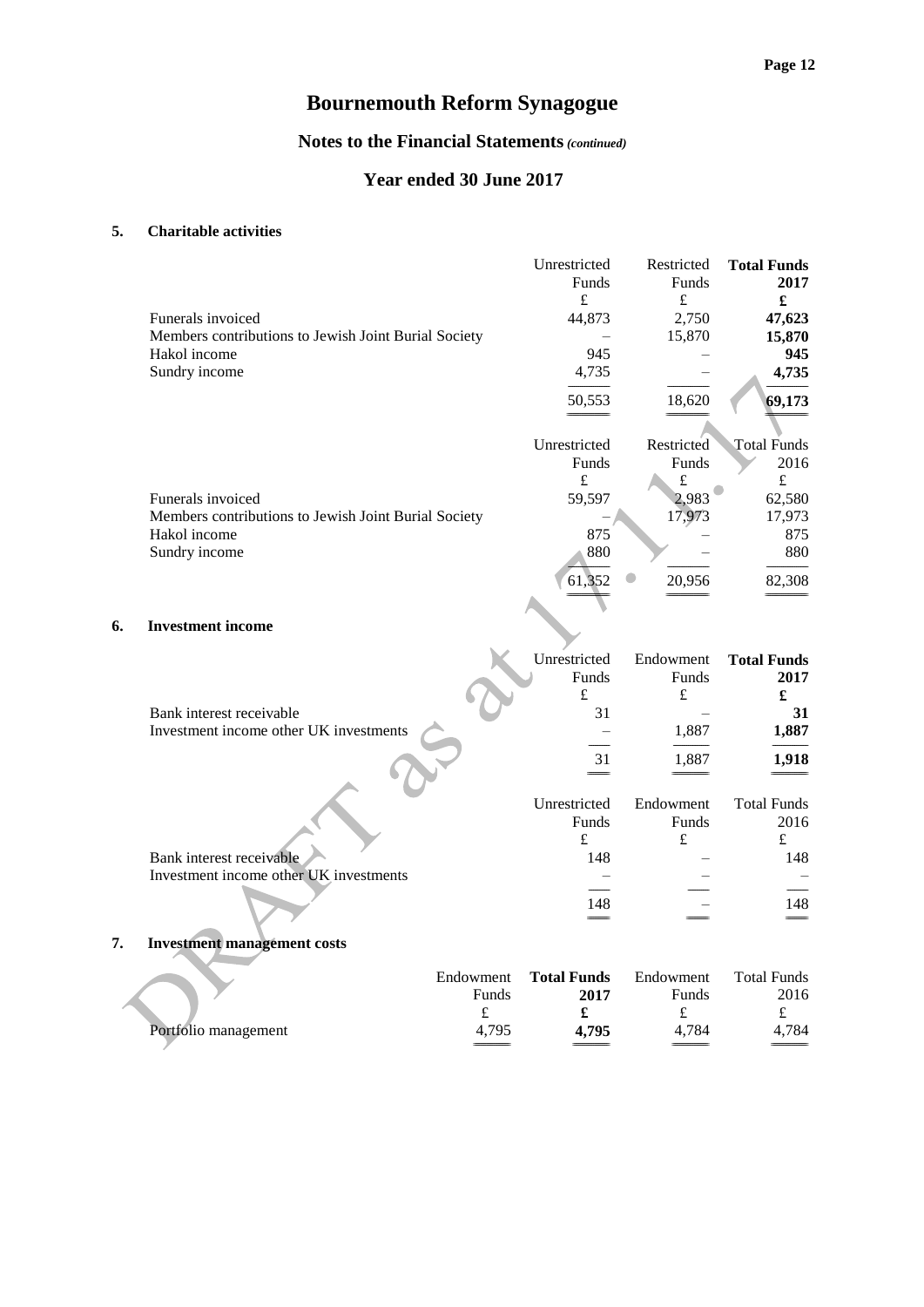### **Notes to the Financial Statements***(continued)*

### **Year ended 30 June 2017**

#### **5. Charitable activities**

|    |                                                      | Unrestricted | Restricted | <b>Total Funds</b> |
|----|------------------------------------------------------|--------------|------------|--------------------|
|    |                                                      | Funds        | Funds      | 2017               |
|    |                                                      | £            | £          | £                  |
|    | Funerals invoiced                                    | 44,873       | 2,750      | 47,623             |
|    | Members contributions to Jewish Joint Burial Society |              | 15,870     | 15,870             |
|    | Hakol income                                         | 945          |            | 945                |
|    | Sundry income                                        | 4,735        |            | 4,735              |
|    |                                                      | 50,553       | 18,620     | 69,173             |
|    |                                                      |              |            |                    |
|    |                                                      | Unrestricted | Restricted | <b>Total Funds</b> |
|    |                                                      | Funds        | Funds      | 2016               |
|    |                                                      | $\pounds$    | $\pounds$  | £                  |
|    | Funerals invoiced                                    | 59,597       | 2,983      | 62,580             |
|    | Members contributions to Jewish Joint Burial Society |              | 17,973     | 17,973             |
|    | Hakol income                                         | 875          |            | 875                |
|    | Sundry income                                        | 880          |            | 880                |
|    |                                                      | 61,352       | 20,956     | 82,308             |
|    |                                                      |              |            |                    |
| 6. | <b>Investment income</b>                             |              |            |                    |

|                                        | Unrestricted | Endowment | <b>Total Funds</b> |
|----------------------------------------|--------------|-----------|--------------------|
|                                        | Funds        | Funds     | 2017               |
|                                        | £            | £         |                    |
| Bank interest receivable               | 31           |           | 31                 |
| Investment income other UK investments |              | 1,887     | 1,887              |
|                                        |              |           |                    |
|                                        | 31           | 1,887     | 1,918              |
|                                        |              |           |                    |
|                                        | Unrestricted | Endowment | <b>Total Funds</b> |
|                                        | Funds        | Funds     | 2016               |
|                                        | £            | £         | £                  |
| Bank interest receivable               | 148          |           | 148                |
| Investment income other UK investments |              |           |                    |
|                                        |              |           |                    |
|                                        | 148          |           | 148                |
|                                        |              |           |                    |

**7. Investment management costs**

|                      | Endowment | <b>Total Funds</b> | Endowment    | <b>Total Funds</b> |
|----------------------|-----------|--------------------|--------------|--------------------|
|                      | Funds     | 2017               | <b>Funds</b> | 2016               |
|                      |           |                    |              |                    |
| Portfolio management | 4.795     | 4.795              | 4.784        | 4.784              |
|                      |           |                    |              |                    |

 $=$   $=$   $=$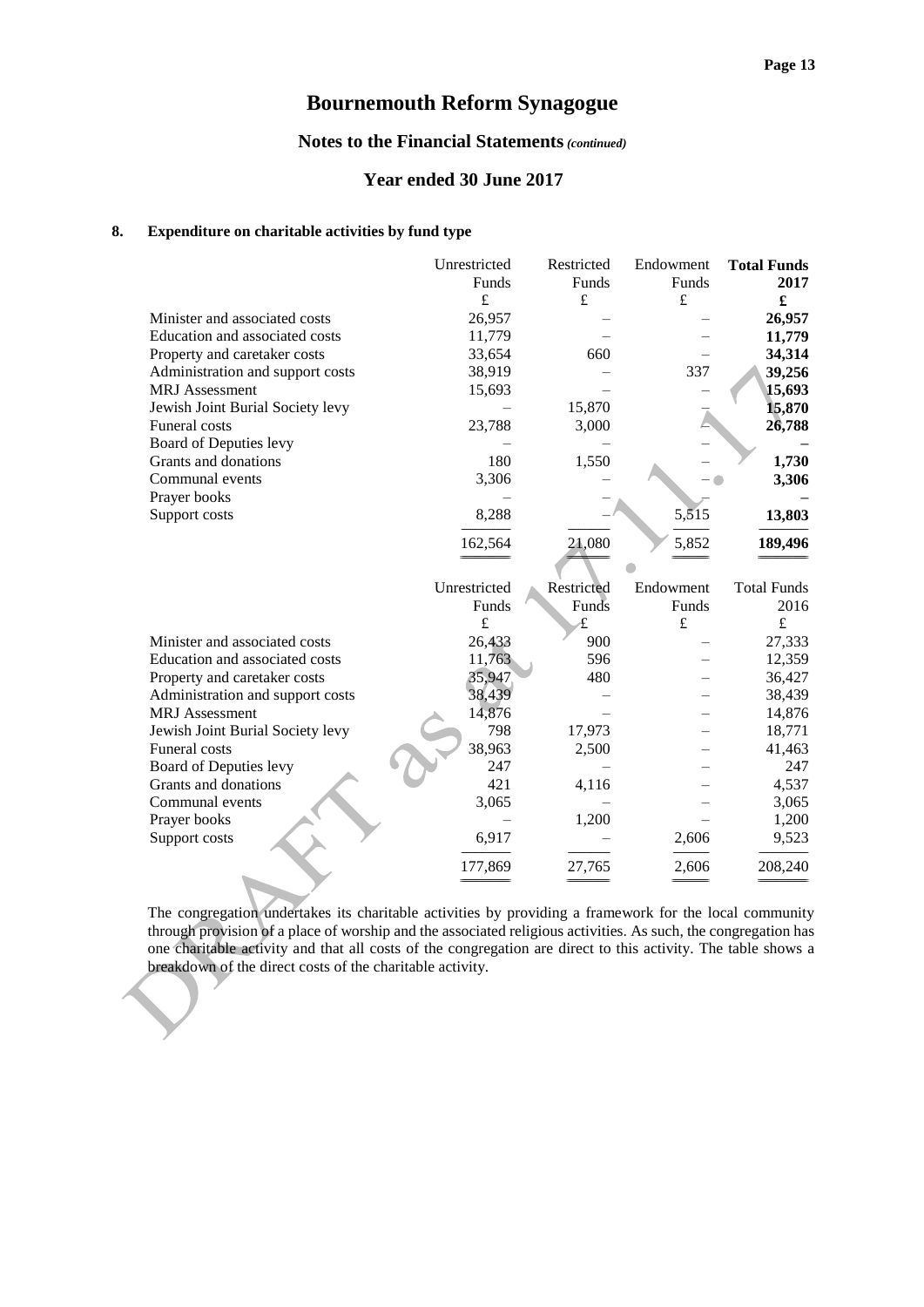#### **Notes to the Financial Statements***(continued)*

#### **Year ended 30 June 2017**

#### **8. Expenditure on charitable activities by fund type**

|                                  | Unrestricted | Restricted | Endowment | <b>Total Funds</b> |
|----------------------------------|--------------|------------|-----------|--------------------|
|                                  | Funds        | Funds      | Funds     | 2017               |
|                                  | £            | £          | $\pounds$ | £                  |
| Minister and associated costs    | 26,957       |            |           | 26,957             |
| Education and associated costs   | 11,779       |            |           | 11,779             |
| Property and caretaker costs     | 33,654       | 660        |           | 34,314             |
| Administration and support costs | 38,919       |            | 337       | 39,256             |
| <b>MRJ</b> Assessment            | 15,693       |            |           | 15,693             |
| Jewish Joint Burial Society levy |              | 15,870     |           | 15,870             |
| Funeral costs                    | 23,788       | 3,000      |           | 26,788             |
| Board of Deputies levy           |              |            |           |                    |
| Grants and donations             | 180          | 1,550      |           | 1,730              |
| Communal events                  | 3,306        |            |           | 3,306              |
| Prayer books                     |              |            |           |                    |
| Support costs                    | 8,288        |            | 5,515     | 13,803             |
|                                  |              |            |           |                    |
|                                  | 162,564      | 21,080     | 5,852     | 189,496            |
|                                  |              |            |           |                    |
|                                  | Unrestricted | Restricted | Endowment | <b>Total Funds</b> |
|                                  | Funds        | Funds      | Funds     | 2016               |
|                                  | £            | £          | $\pounds$ | $\pounds$          |
| Minister and associated costs    | 26,433       | 900        |           | 27,333             |
| Education and associated costs   | 11,763       | 596        |           | 12,359             |
| Property and caretaker costs     | 35,947       | 480        |           | 36,427             |
| Administration and support costs | 38,439       |            |           | 38,439             |
| <b>MRJ</b> Assessment            | 14,876       |            |           | 14,876             |
| Jewish Joint Burial Society levy | 798          | 17,973     |           | 18,771             |
| <b>Funeral</b> costs             | 38,963       | 2,500      |           | 41,463             |
| Board of Deputies levy           | 247          |            |           | 247                |
| Grants and donations             | 421          | 4,116      |           | 4,537              |
| Communal events                  | 3,065        |            |           | 3,065              |
| Prayer books                     |              | 1,200      |           | 1,200              |
| Support costs                    | 6,917        |            | 2,606     | 9,523              |
|                                  |              |            |           |                    |
|                                  | 177,869      | 27,765     | 2,606     | 208,240            |
|                                  |              |            |           |                    |

The congregation undertakes its charitable activities by providing a framework for the local community through provision of a place of worship and the associated religious activities. As such, the congregation has one charitable activity and that all costs of the congregation are direct to this activity. The table shows a breakdown of the direct costs of the charitable activity.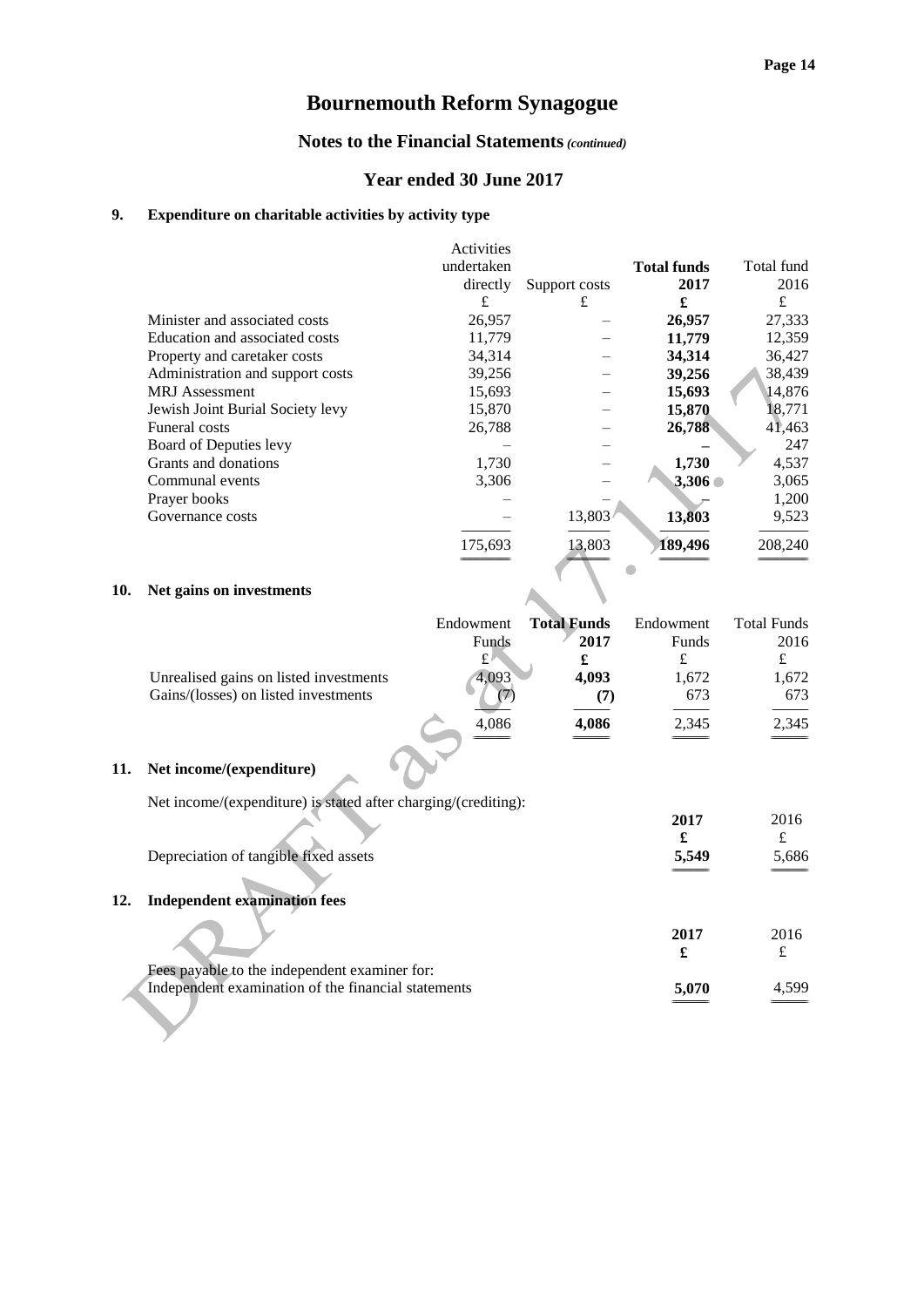======================== ========================

## **Bournemouth Reform Synagogue**

#### **Notes to the Financial Statements***(continued)*

#### **Year ended 30 June 2017**

#### **9. Expenditure on charitable activities by activity type**

|                                  | Activities<br>undertaken<br>directly | Support costs | <b>Total funds</b><br>2017 | Total fund<br>2016  |
|----------------------------------|--------------------------------------|---------------|----------------------------|---------------------|
|                                  | £                                    | £             | £                          | £                   |
| Minister and associated costs    | 26,957                               |               | 26,957                     | 27,333              |
| Education and associated costs   | 11,779                               |               | 11,779                     | 12,359              |
| Property and caretaker costs     | 34,314                               |               | 34,314                     | 36,427              |
| Administration and support costs | 39,256                               |               | 39,256                     | 38,439              |
| <b>MRJ</b> Assessment            | 15,693                               |               | 15,693                     | 14,876              |
| Jewish Joint Burial Society levy | 15,870                               |               | 15,870                     | 18,771              |
| <b>Funeral costs</b>             | 26,788                               |               | 26,788                     | $4\overline{1,}463$ |
| Board of Deputies levy           |                                      |               |                            | 247                 |
| Grants and donations             | 1,730                                |               | 1,730                      | 4,537               |
| Communal events                  | 3,306                                |               | 3,306                      | 3,065               |
| Prayer books                     |                                      |               |                            | 1,200               |
| Governance costs                 |                                      | 13,803        | 13,803                     | 9,523               |
|                                  | 175,693                              | 13,803        | 189,496                    | 208,240             |

#### **10. Net gains on investments**

|                                        | Endowment | <b>Total Funds</b> | Endowment | <b>Total Funds</b> |
|----------------------------------------|-----------|--------------------|-----------|--------------------|
|                                        | Funds     | 2017               | Funds     | 2016               |
|                                        | £         |                    |           |                    |
| Unrealised gains on listed investments | 4.093     | 4.093              | 1,672     | 1,672              |
| Gains/(losses) on listed investments   |           | (7)                | 673       | 673                |
|                                        | 4.086     | 4,086              | 2,345     | 2,345              |
|                                        |           |                    |           |                    |

#### **11. Net income/(expenditure)**

Net income/(expenditure) is stated after charging/(crediting):

6

| Depreciation of tangible fixed assets                                                                | 2017<br>5,549 | 2016<br>£<br>5,686 |
|------------------------------------------------------------------------------------------------------|---------------|--------------------|
| <b>Independent examination fees</b><br>12.                                                           |               |                    |
|                                                                                                      | 2017<br>£     | 2016               |
| Fees payable to the independent examiner for:<br>Independent examination of the financial statements | 5,070         | 4.599              |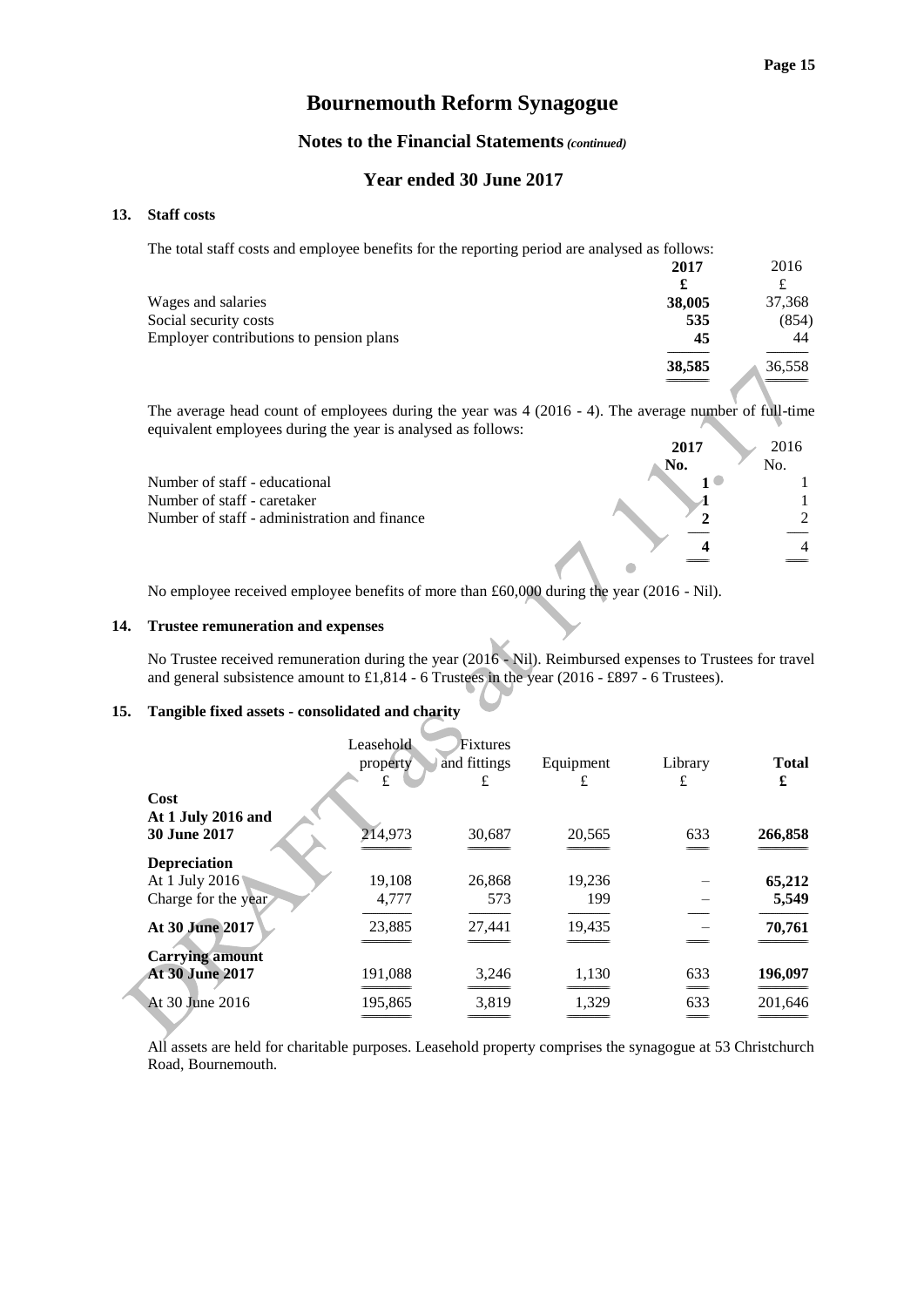#### **Notes to the Financial Statements***(continued)*

#### **Year ended 30 June 2017**

#### **13. Staff costs**

The total staff costs and employee benefits for the reporting period are analysed as follows:

|                                         | 2017   | 2016   |
|-----------------------------------------|--------|--------|
|                                         | £      | ┻      |
| Wages and salaries                      | 38,005 | 37,368 |
| Social security costs                   | 535    | (854)  |
| Employer contributions to pension plans | 45     | 44     |
|                                         | 38,585 | 36,558 |
|                                         |        |        |

The average head count of employees during the year was 4 (2016 - 4). The average number of full-time equivalent employees during the year is analysed as follows:

|                                              | 2017 | 2016     |
|----------------------------------------------|------|----------|
|                                              | No.  | No.      |
| Number of staff - educational                |      |          |
| Number of staff - caretaker                  |      |          |
| Number of staff - administration and finance | ◠    | $\gamma$ |
|                                              |      |          |
|                                              |      |          |

No employee received employee benefits of more than £60,000 during the year (2016 - Nil).

#### **14. Trustee remuneration and expenses**

No Trustee received remuneration during the year (2016 - Nil). Reimbursed expenses to Trustees for travel and general subsistence amount to £1,814 - 6 Trustees in the year (2016 - £897 - 6 Trustees).

#### **15. Tangible fixed assets - consolidated and charity**

|                        | Leasehold | Fixtures     |           |           |              |
|------------------------|-----------|--------------|-----------|-----------|--------------|
|                        | property  | and fittings | Equipment | Library   | <b>Total</b> |
|                        | £         | £            | £         | £         | £            |
| Cost                   |           |              |           |           |              |
| At 1 July 2016 and     |           |              |           |           |              |
| <b>30 June 2017</b>    | 214,973   | 30,687       | 20,565    | 633       | 266,858      |
| <b>Depreciation</b>    |           |              |           |           |              |
| At 1 July 2016         | 19,108    | 26,868       | 19,236    |           | 65,212       |
| Charge for the year    | 4,777     | 573          | 199       |           | 5,549        |
| At 30 June 2017        | 23,885    | 27,441       | 19,435    |           | 70,761       |
| <b>Carrying amount</b> |           |              |           |           |              |
| <b>At 30 June 2017</b> | 191,088   | 3,246        | 1,130     | 633       | 196,097      |
|                        |           |              |           |           |              |
| At 30 June 2016        | 195,865   | 3,819        | 1,329     | 633<br>__ | 201,646      |
|                        |           |              |           |           |              |

All assets are held for charitable purposes. Leasehold property comprises the synagogue at 53 Christchurch Road, Bournemouth.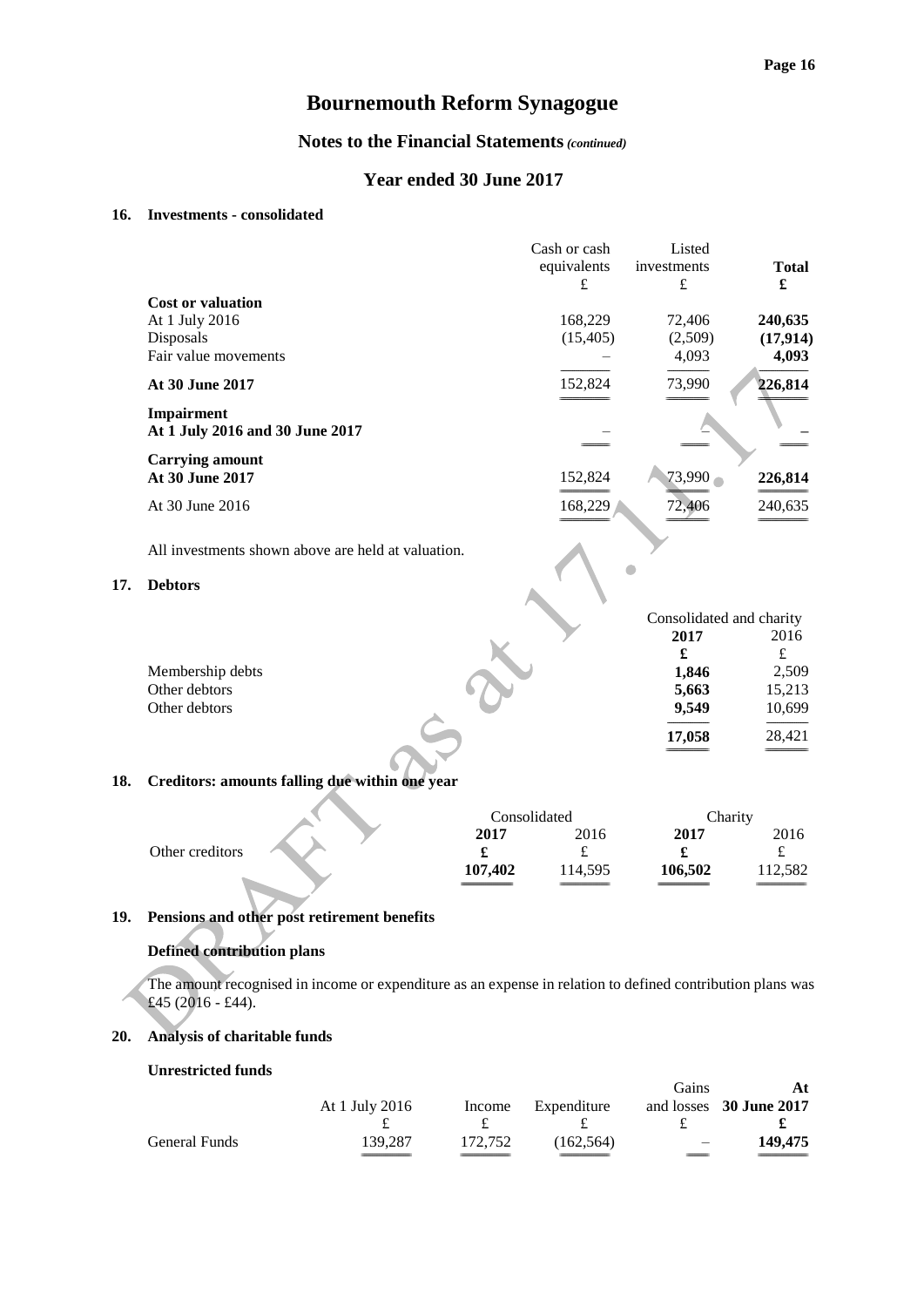### **Notes to the Financial Statements***(continued)*

#### **Year ended 30 June 2017**

#### **16. Investments - consolidated**

|                                               | Cash or cash<br>equivalents | Listed<br>investments | <b>Total</b> |
|-----------------------------------------------|-----------------------------|-----------------------|--------------|
|                                               | £                           | £                     | £            |
| <b>Cost or valuation</b>                      |                             |                       |              |
| At 1 July 2016                                | 168,229                     | 72,406                | 240,635      |
| Disposals                                     | (15,405)                    | (2,509)               | (17, 914)    |
| Fair value movements                          |                             | 4,093                 | 4,093        |
| At 30 June 2017                               | 152,824                     | 73,990                | 226,814      |
| Impairment<br>At 1 July 2016 and 30 June 2017 |                             |                       |              |
| <b>Carrying amount</b>                        |                             |                       |              |
| <b>At 30 June 2017</b>                        | 152,824                     | 73,990                | 226,814      |
| At 30 June 2016                               | 168,229                     | 72,406                | 240,635      |

All investments shown above are held at valuation.

#### **17. Debtors**

| 2017   | 2016                     |
|--------|--------------------------|
|        | £                        |
| 1,846  | 2,509                    |
| 5,663  | 15,213                   |
| 9,549  | 10,699                   |
| 17,058 | 28,421                   |
|        | Consolidated and charity |

# **18. Creditors: amounts falling due within one year**

**The Contract of the Contract of the Contract of the Contract of the Contract of the Contract of the Contract of the Contract of the Contract of the Contract of the Contract of the Contract of The Contract of The Contract** 

|                 | Consolidated |         | Charity |         |
|-----------------|--------------|---------|---------|---------|
|                 | 2017         | 2016    | 2017    | 2016    |
| Other creditors |              | ے       |         |         |
|                 | 107.402      | 114,595 | 106,502 | 112,582 |
|                 |              |         |         |         |

#### **19. Pensions and other post retirement benefits**

#### **Defined contribution plans**

The amount recognised in income or expenditure as an expense in relation to defined contribution plans was £45 (2016 - £44).

#### **20. Analysis of charitable funds**

#### **Unrestricted funds**

|                      | At 1 July 2016 |         | Income Expenditure | <b>Gains</b>             | At<br>and losses 30 June 2017 |
|----------------------|----------------|---------|--------------------|--------------------------|-------------------------------|
|                      |                |         |                    |                          |                               |
| <b>General Funds</b> | 139.287        | 172.752 | (162.564)          | $\overline{\phantom{0}}$ | 149,475                       |
|                      |                |         |                    |                          |                               |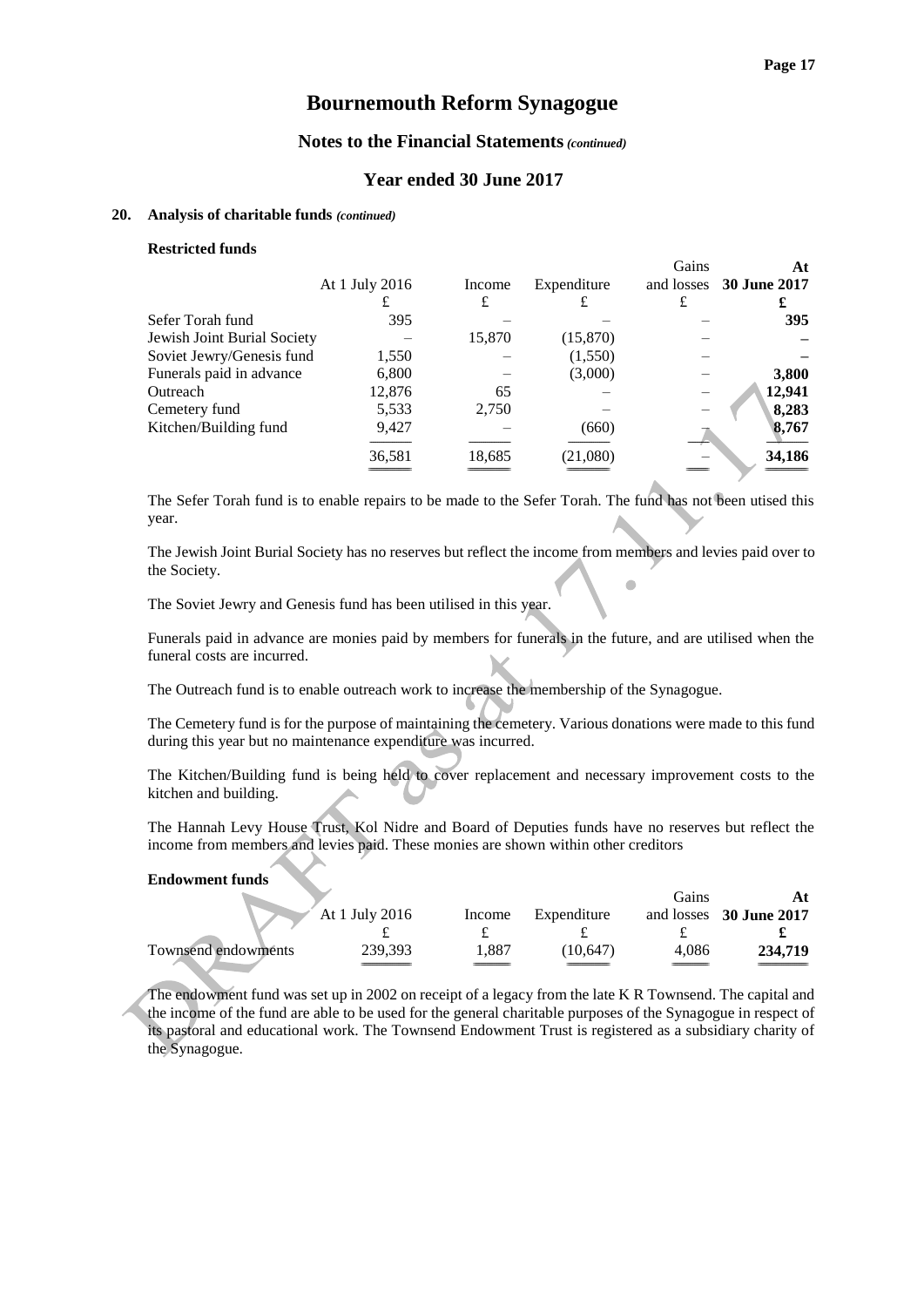### **Notes to the Financial Statements***(continued)*

#### **Year ended 30 June 2017**

#### **20. Analysis of charitable funds** *(continued)*

#### **Restricted funds**

|                             |                |        |             | Gains | At                      |
|-----------------------------|----------------|--------|-------------|-------|-------------------------|
|                             | At 1 July 2016 | Income | Expenditure |       | and losses 30 June 2017 |
|                             |                | £      | £           | £     |                         |
| Sefer Torah fund            | 395            |        |             |       | <b>395</b>              |
| Jewish Joint Burial Society |                | 15,870 | (15,870)    |       |                         |
| Soviet Jewry/Genesis fund   | 1,550          |        | (1,550)     |       |                         |
| Funerals paid in advance    | 6,800          |        | (3,000)     |       | 3,800                   |
| Outreach                    | 12,876         | 65     |             |       | 12,941                  |
| Cemetery fund               | 5,533          | 2,750  |             |       | 8,283                   |
| Kitchen/Building fund       | 9,427          |        | (660)       |       | 8,767                   |
|                             | 36,581         | 18,685 | (21,080)    |       | 34,186                  |
|                             |                |        |             |       |                         |

The Sefer Torah fund is to enable repairs to be made to the Sefer Torah. The fund has not been utised this year.

The Jewish Joint Burial Society has no reserves but reflect the income from members and levies paid over to the Society. Ċ

The Soviet Jewry and Genesis fund has been utilised in this year.

Funerals paid in advance are monies paid by members for funerals in the future, and are utilised when the funeral costs are incurred.

The Outreach fund is to enable outreach work to increase the membership of the Synagogue.

The Cemetery fund is for the purpose of maintaining the cemetery. Various donations were made to this fund during this year but no maintenance expenditure was incurred.

The Kitchen/Building fund is being held to cover replacement and necessary improvement costs to the kitchen and building.

The Hannah Levy House Trust, Kol Nidre and Board of Deputies funds have no reserves but reflect the income from members and levies paid. These monies are shown within other creditors

#### **Endowment funds**

|                     |                |        |             | Gains |                         |
|---------------------|----------------|--------|-------------|-------|-------------------------|
|                     | At 1 July 2016 | Income | Expenditure |       | and losses 30 June 2017 |
|                     |                |        |             |       |                         |
| Townsend endowments | 239,393        | .887   | (10.647)    | 4.086 | 234.719                 |
|                     |                |        |             |       |                         |

The endowment fund was set up in 2002 on receipt of a legacy from the late K R Townsend. The capital and the income of the fund are able to be used for the general charitable purposes of the Synagogue in respect of its pastoral and educational work. The Townsend Endowment Trust is registered as a subsidiary charity of the Synagogue.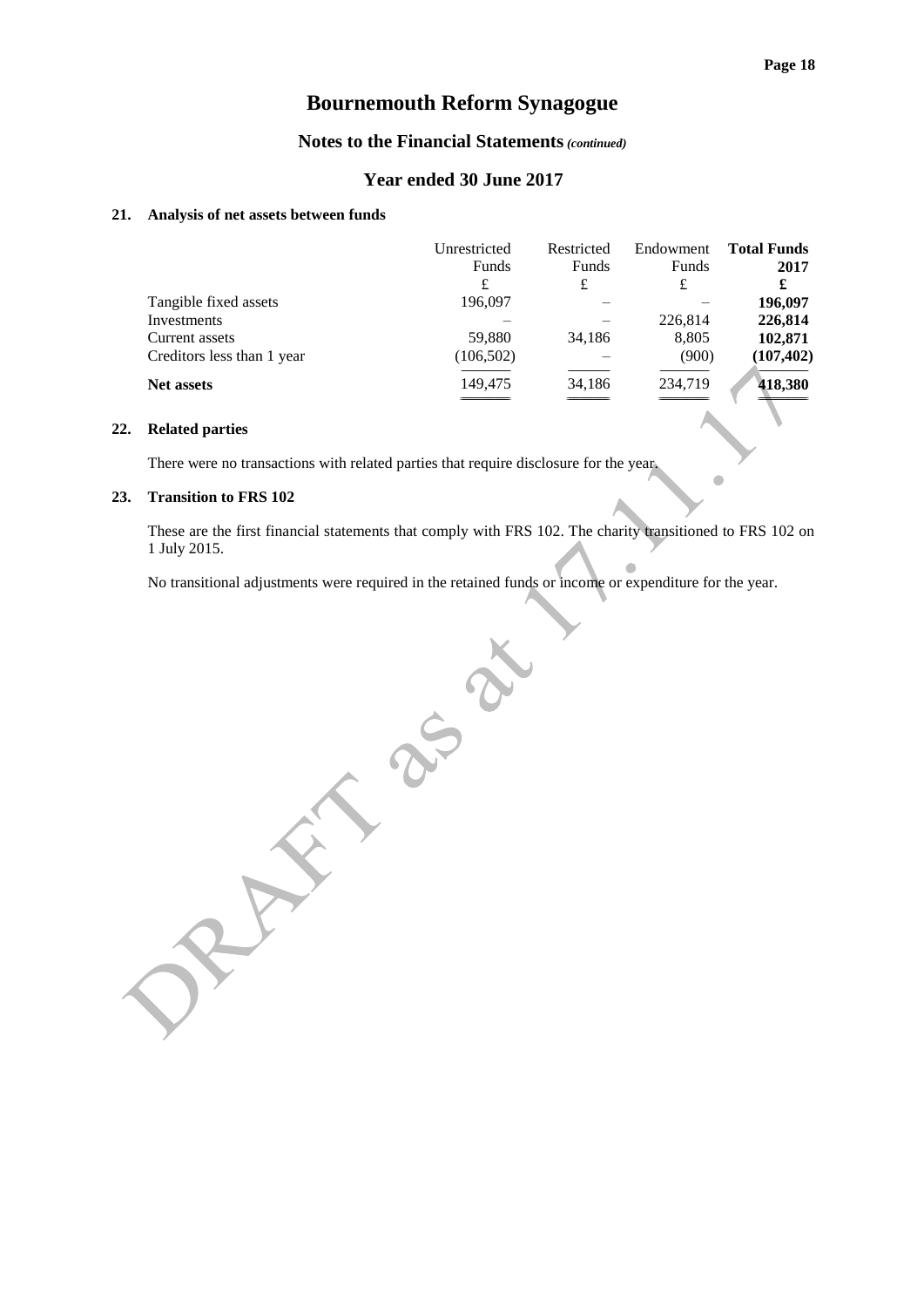#### **Notes to the Financial Statements***(continued)*

#### **Year ended 30 June 2017**

#### **21. Analysis of net assets between funds**

|                            | Unrestricted<br>Funds | Restricted<br>Funds | Endowment<br>Funds | <b>Total Funds</b><br>2017 |
|----------------------------|-----------------------|---------------------|--------------------|----------------------------|
|                            | £                     | £                   | £                  | £                          |
| Tangible fixed assets      | 196,097               |                     |                    | 196,097                    |
| Investments                |                       |                     | 226,814            | 226,814                    |
| Current assets             | 59,880                | 34,186              | 8,805              | 102,871                    |
| Creditors less than 1 year | (106, 502)            |                     | (900)              | (107, 402)                 |
| <b>Net assets</b>          | 149,475               | 34,186              | 234,719            | 418,380                    |

#### **22. Related parties**

There were no transactions with related parties that require disclosure for the year.

#### **23. Transition to FRS 102**

These are the first financial statements that comply with FRS 102. The charity transitioned to FRS 102 on 1 July 2015.

 $\blacksquare$ 

No transitional adjustments were required in the retained funds or income or expenditure for the year.